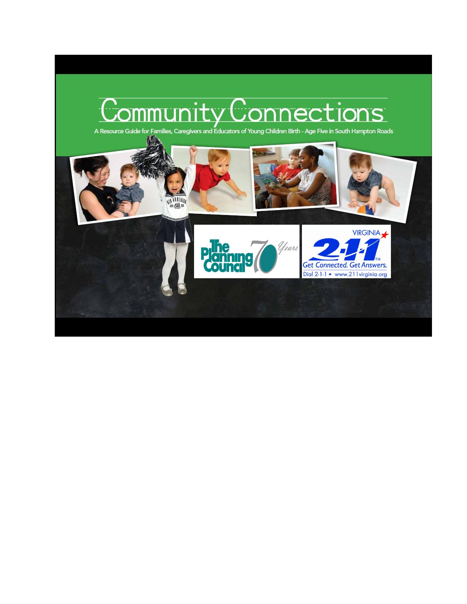# $\cdot$   $\cdot$ **nections**

A Resource Guide for Families, Caregivers and Educators of Young Children Birth - Age Five in South Hampton Roads

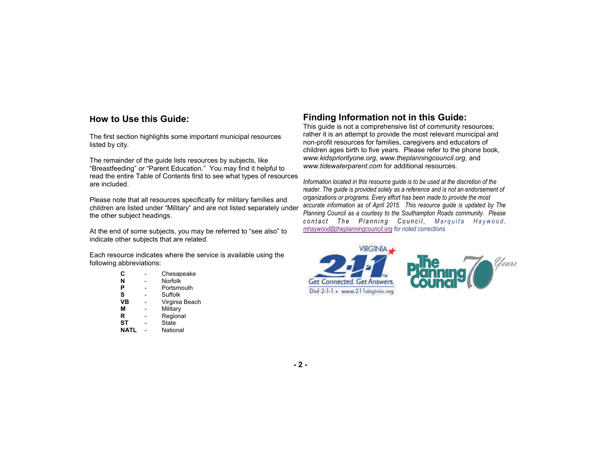#### **How to Use this Guide: How to Use this Guide:**

The first section highlights some important municipal resources The first section highlights some important municipal resources listed by city. listed by city.

The remainder of the guide lists resources by subjects, like The remainder of the guide lists resources by subjects, like "Breastfeeding" or "Parent Education." You may find it helpful to read the entire Table of Contents first to see what types of resources read the entire Table of Contents first to see what types of resources are included. are included.

Please note that all resources specifically for military families and Please note that all resources specifically for military families and children are listed under "Military" and are not listed separately under children are listed under "Military" and are not listed separately under the other subject headings. the other subject headings.

At the end of some subjects, you may be referred to "see also" to indicate other subjects that are related.

Each resource indicates where the service is available using the Each resource indicates where the service is available using the following abbreviations: following abbreviations:

| C           | Chesapeake     |
|-------------|----------------|
| N           | Norfolk        |
| P           | Portsmouth     |
| S           | Suffolk        |
| VB          | Virginia Beach |
| М           | Military       |
| R           | Regional       |
| SТ          | State          |
| <b>NATL</b> | National       |

# **Finding Information not in This Guide: Information this Guide:**

This guide is not a comprehensive list of community resources; This guide is not a comprehensive list of community resources; rather it is an attempt to provide the most relevant municipal and non-profit resources for families, caregivers and educators of non-profit resources for families, caregivers and educators of children aged birth to five years. Please refer to the phone book, children ages birth to five years. Please refer to the phone book, or www.kidspriorityone.org, www.theplanningcouncil.org, *www.kidspriorityone.org*, *www.theplanningcouncil.org*, and www.tidewaterparent.com for additional resources.

Information located in this resource guide is to be used at the discretion of the *Information located in this resource guide is to be used at the discretion of the organizations or programs. Every effort has been made to provide the most*  accurate information as of April 2015. This resource guide is updated by The Planning Council as a courtesy to the Southampton Roads community. Please *accurate information as of April, 2007. To correct or add information, please*  mhaywood@theplanningcouncil.org for noted corrections *reader. The guide is provided solely as a reference and is not an endorsement of*  accurate information as of April 2015. This resource guide is updated by The<br>Planning Council as a courtesy to the Southampton Roads community. Please<br>contact = The = Planning = Council, = Marquita = Haywood,<br><u>mhaywood@the</u>

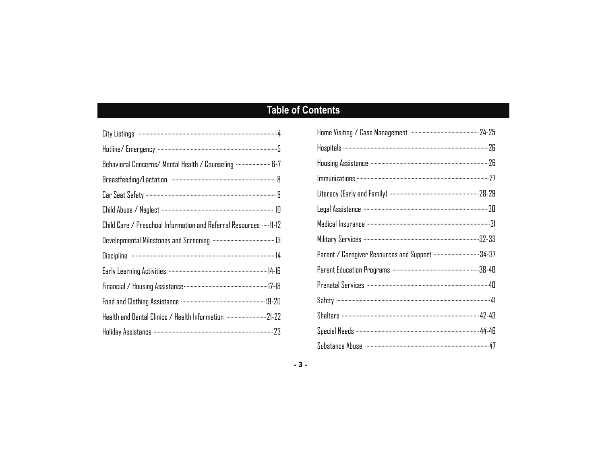# **Table of Contents**

| Behavioral Concerns/ Mental Health / Counseling  6-7               |
|--------------------------------------------------------------------|
|                                                                    |
|                                                                    |
|                                                                    |
| Child Care / Preschool Information and Referral Resources …. 11-12 |
|                                                                    |
|                                                                    |
|                                                                    |
|                                                                    |
|                                                                    |
| Health and Dental Clinics / Health Information  21-22              |
|                                                                    |

| Literacy (Early and Family) …………………………………………………………… 28-29 |
|-----------------------------------------------------------|
|                                                           |
|                                                           |
|                                                           |
|                                                           |
|                                                           |
|                                                           |
|                                                           |
|                                                           |
|                                                           |
|                                                           |

#### $-3-$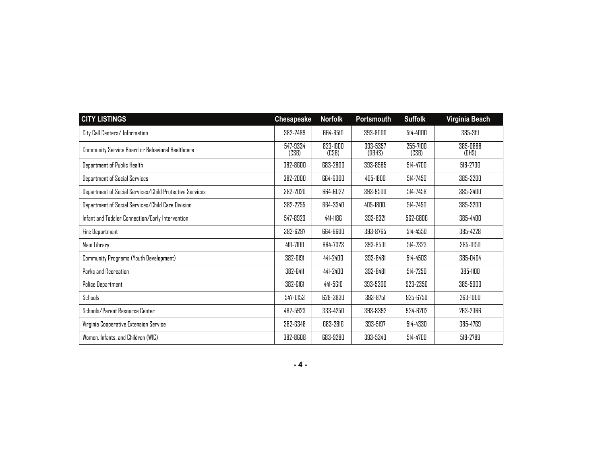| <b>CITY LISTINGS</b>                                    | Chesapeake        | <b>Norfolk</b>    | Portsmouth         | <b>Suffolk</b>    | Virginia Beach    |
|---------------------------------------------------------|-------------------|-------------------|--------------------|-------------------|-------------------|
| City Call Centers/Information                           | 382-2489          | 664-6510          | 393-8000           | 514-4000          | 385-311           |
| Community Service Board or Behavioral Healthcare        | 547-9334<br>(CSB) | 823-1600<br>(CSB) | 393-5357<br>(DBHS) | 255-7100<br>(CSB) | 385-0888<br>(DHS) |
| Department of Public Health                             | 382-8600          | 683-2800          | 393-8585           | 514-4700          | 518-2700          |
| Department of Social Services                           | 382-2000          | 664-6000          | 405-1800           | 514-7450          | 385-3200          |
| Department of Social Services/Child Protective Services | 382-2020          | 664-6022          | 393-9500           | 514-7458          | 385-3400          |
| Department of Social Services/Child Care Division       | 382-2255          | 664-3340          | 405-1800.          | 514-7450          | 385-3200          |
| Infant and Toddler Connection/Early Intervention        | 547-8929          | 441-1186          | 393-8321           | 562-6806          | 385-4400          |
| Fire Department                                         | 382-6297          | 664-6600          | 393-8765           | 514-4550          | 385-4228          |
| Main Library                                            | 410-7100          | 664-7323          | 393-8501           | 514-7323          | 385-0150          |
| Community Programs (Youth Development)                  | 382-6191          | 441-2400          | 393-8481           | 514-4503          | 385-0464          |
| Parks and Recreation                                    | 382-6411          | 441-2400          | 393-8481           | 514-7250          | 385-1100          |
| <b>Police Department</b>                                | 382-6161          | 441-5610          | 393-5300           | 923-2350          | 385-5000          |
| Schools                                                 | 547-0153          | 628-3830          | 393-8751           | 925-6750          | 263-1000          |
| Schools/Parent Resource Center                          | 482-5923          | 333-4250          | 393-8392           | 934-6202          | 263-2066          |
| Virginia Cooperative Extension Service                  | 382-6348          | 683-2816          | 393-5197           | 514-4330          | 385-4769          |
| Women, Infants, and Children (WIC)                      | 382-8608          | 683-9280          | 393-5340           | 514-4700          | 518-2789          |

|--|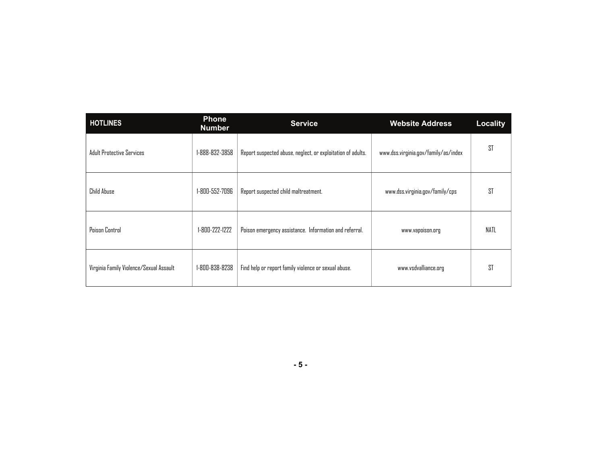| <b>HOTLINES</b>                         | <b>Phone</b><br><b>Number</b> | <b>Service</b>                                              | <b>Website Address</b>               | <b>Locality</b> |
|-----------------------------------------|-------------------------------|-------------------------------------------------------------|--------------------------------------|-----------------|
| <b>Adult Protective Services</b>        | 1-888-832-3858                | Report suspected abuse, neglect, or exploitation of adults. | www.dss.virginia.gov/family/as/index | ST              |
| Child Abuse                             | 1-800-552-7096                | Report suspected child maltreatment.                        | www.dss.virginia.gov/family/cps      | <b>ST</b>       |
| Poison Control                          | 1-800-222-1222                | Poison emergency assistance. Information and referral.      | www.vapoison.org                     | NATL            |
| Virginia Family Violence/Sexual Assault | 1-800-838-8238                | Find help or report family violence or sexual abuse.        | www.vsdvalliance.org                 | ST              |

| ٧<br>۰.<br>v<br>۰. |  |
|--------------------|--|
|--------------------|--|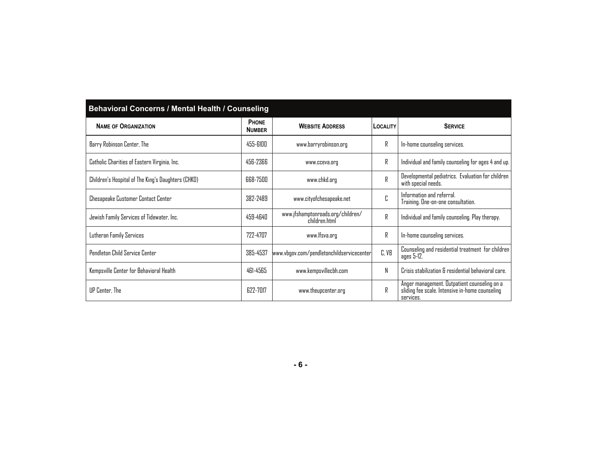| Behavioral Concerns / Mental Health / Counseling   |                        |                                                    |          |                                                                                                              |  |  |  |
|----------------------------------------------------|------------------------|----------------------------------------------------|----------|--------------------------------------------------------------------------------------------------------------|--|--|--|
| <b>NAME OF ORGANIZATION</b>                        | PHONE<br><b>NUMBER</b> | <b>WEBSITE ADDRESS</b>                             | LOCALITY | <b>SERVICE</b>                                                                                               |  |  |  |
| Barry Robinson Center, The                         | 455-6100               | www.barryrobinson.org                              | R        | In-home counseling services.                                                                                 |  |  |  |
| Catholic Charities of Eastern Virginia, Inc.       | 456-2366               | www.cceva.org                                      | R        | Individual and family counseling for ages 4 and up.                                                          |  |  |  |
| Children's Hospital of The King's Daughters (CHKD) | 668-7500               | www.chkd.org                                       | R        | Developmental pediatrics. Evaluation for children<br>with special needs.                                     |  |  |  |
| Chesapeake Customer Contact Center                 | 382-2489               | www.cityofchesapeake.net                           | C        | Information and referral.<br>Training. One-on-one consultation.                                              |  |  |  |
| Jewish Family Services of Tidewater, Inc.          | 459-4640               | www.jfshamptonroads.org/children/<br>children.html | R        | Individual and family counseling. Play therapy.                                                              |  |  |  |
| Lutheran Family Services                           | 722-4707               | www.lfsva.org                                      | R        | In-home counseling services.                                                                                 |  |  |  |
| Pendleton Child Service Center                     | 385-4537               | www.vbgov.com/pendletonchildservicecenter          | C, VB    | Counseling and residential treatment for children<br>ages 5-12.                                              |  |  |  |
| Kempsville Center for Behavioral Health            | 461-4565               | www.kempsvillecbh.com                              | N        | Crisis stabilization & residential behavioral care.                                                          |  |  |  |
| UP Center, The                                     | 622-7017               | www.theupcenter.org                                | R        | Anger management. Outpatient counseling on a<br>sliding fee scale. Intensive in-home counseling<br>services. |  |  |  |

# **- 6 -**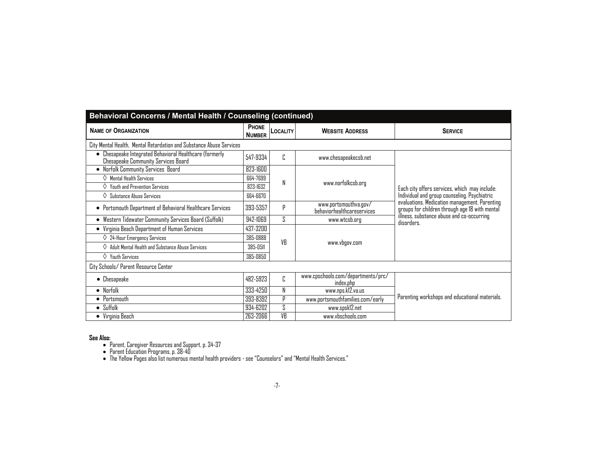| Behavioral Concerns / Mental Health / Counseling (continued)                                          |                               |                 |                                                     |                                                                                                 |  |  |
|-------------------------------------------------------------------------------------------------------|-------------------------------|-----------------|-----------------------------------------------------|-------------------------------------------------------------------------------------------------|--|--|
| <b>NAME OF ORGANIZATION</b>                                                                           | <b>PHONE</b><br><b>NUMBER</b> | <b>LOCALITY</b> | <b>WEBSITE ADDRESS</b>                              | <b>SERVICE</b>                                                                                  |  |  |
| City Mental Health, Mental Retardation and Substance Abuse Services                                   |                               |                 |                                                     |                                                                                                 |  |  |
| • Chesapeake Integrated Behavioral Healthcare (formerly<br><b>Chesapeake Community Services Board</b> | 547-9334                      | C               | www.chesapeakecsb.net                               |                                                                                                 |  |  |
| • Norfolk Community Services Board                                                                    | 823-1600                      |                 |                                                     |                                                                                                 |  |  |
| $\Diamond$ Mental Health Services                                                                     | 664-7699                      | N               |                                                     |                                                                                                 |  |  |
| $\diamond$ Youth and Prevention Services                                                              | 823-1632                      |                 | www.norfolkcsb.org                                  | Each city offers services, which may include:                                                   |  |  |
| $\Diamond$ Substance Abuse Services                                                                   | 664-6670                      |                 |                                                     | Individual and group counseling. Psychiatric                                                    |  |  |
| • Portsmouth Department of Behavioral Healthcare Services                                             | 393-5357                      | р               | www.portsmouthva.gov/<br>behaviorhealthcareservices | evaluations. Medication management. Parenting<br>groups for children through age 18 with mental |  |  |
| Western Tidewater Community Services Board (Suffolk)<br>$\bullet$                                     | 942-1069                      | S.              | www.wtcsb.org                                       | illness, substance abuse and co-occurring<br>disorders.                                         |  |  |
| Virginia Beach Department of Human Services<br>$\bullet$                                              | 437-3200                      |                 |                                                     |                                                                                                 |  |  |
| $\Diamond$ 24-Hour Emergency Services                                                                 | 385-0888                      | VR              |                                                     |                                                                                                 |  |  |
| $\diamondsuit$ Adult Mental Health and Substance Abuse Services                                       | 385-0511                      |                 | www.vbgov.com                                       |                                                                                                 |  |  |
| $\Diamond$ Youth Services                                                                             | 385-0850                      |                 |                                                     |                                                                                                 |  |  |
| City Schools/ Parent Resource Center                                                                  |                               |                 |                                                     |                                                                                                 |  |  |
| $\bullet$ Chesapeake                                                                                  | 482-5923                      | C               | www.cpschools.com/departments/prc/<br>index.php     |                                                                                                 |  |  |
| • Norfolk                                                                                             | 333-4250                      | N               | www.nps.kl2.va.us                                   |                                                                                                 |  |  |
| $\bullet$ Portsmouth                                                                                  | 393-8392                      | Þ               | www.portsmouthfamilies.com/early                    | Parenting workshops and educational materials.                                                  |  |  |
| $\bullet$ Suffolk                                                                                     | 934-6202                      | S.              | www.spsk12.net                                      |                                                                                                 |  |  |
| • Virginia Beach                                                                                      | 263-2066                      | VB              | www.vbschools.com                                   |                                                                                                 |  |  |

**See Also:** 

Parent, Caregiver Resources and Support, p. 34-37 Parent Education Programs, p. 38-40 The Yellow Pages also list numerous mental health providers - see "Counselors" and "Mental Health Services."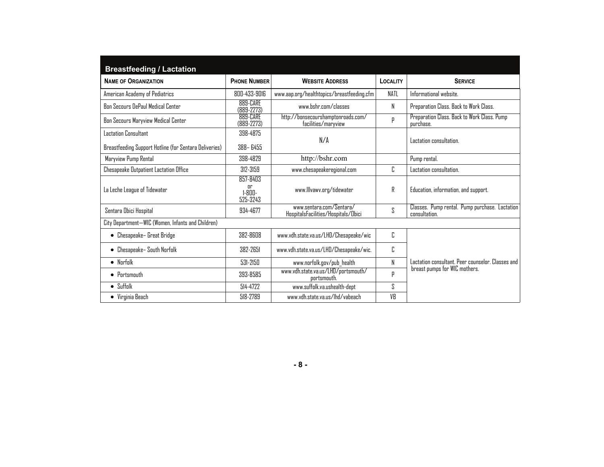| <b>Breastfeeding / Lactation</b>                       |                                                |                                                                 |                                                               |                                                                 |  |
|--------------------------------------------------------|------------------------------------------------|-----------------------------------------------------------------|---------------------------------------------------------------|-----------------------------------------------------------------|--|
| <b>NAME OF ORGANIZATION</b>                            | <b>PHONE NUMBER</b>                            | <b>WEBSITE ADDRESS</b><br><b>LOCALITY</b>                       |                                                               | <b>SERVICE</b>                                                  |  |
| American Academy of Pediatrics                         | 800-433-9016                                   | www.aap.org/healthtopics/breastfeeding.cfm                      | NATL                                                          | Informational website.                                          |  |
| <b>Bon Secours DePaul Medical Center</b>               | 889-CARE<br>$(B89-2273)$                       | www.bshr.com/classes                                            | N<br>Preparation Class. Back to Work Class.                   |                                                                 |  |
| Bon Secours Maryview Medical Center                    | 889-CARE<br>$(889 - 2273)$                     | http://bonsecourshamptonroads.com/<br>facilities/marvview       | Preparation Class. Back to Work Class. Pump<br>Þ<br>purchase. |                                                                 |  |
| Lactation Consultant                                   | 398-4875                                       |                                                                 |                                                               |                                                                 |  |
| Breastfeeding Support Hotline (for Sentara Deliveries) | 388-6455                                       | N/A                                                             |                                                               | Lactation consultation.                                         |  |
| Maryview Pump Rental                                   | 398-4829                                       | http://bshr.com                                                 |                                                               | Pump rental.                                                    |  |
| Chesapeake Dutpatient Lactation Office                 | 312-3159                                       | Г.<br>www.chesapeakeregional.com                                |                                                               | Lactation consultation.                                         |  |
| La Leche League of Tidewater                           | 857-8403<br><b>Or</b><br>$1-$ RNN-<br>525-3243 | www.lllvawv.org/tidewater                                       | R                                                             | Education, information, and support.                            |  |
| Sentara Obici Hospital                                 | 934-4677                                       | www.sentara.com/Sentara/<br>HospitalsFacilities/Hospitals/Obici | S                                                             | Classes. Pump rental. Pump purchase. Lactation<br>consultation. |  |
| City Department-WIC (Women, Infants and Children)      |                                                |                                                                 |                                                               |                                                                 |  |
| • Chesapeake- Great Bridge                             | 382-8608                                       | www.vdh.state.va.us/LHD/Chesapeake/wic                          | C                                                             |                                                                 |  |
| • Chesapeake- South Norfolk                            | 382-2651                                       | www.vdh.state.va.us/LHD/Chesapeake/wic.                         | C                                                             |                                                                 |  |
| $\bullet$ Norfolk                                      | 531-2150                                       | www.norfolk.gov/pub_health                                      | N                                                             | Lactation consultant. Peer counselor. Classes and               |  |
| $\bullet$ Portsmouth                                   | 393-8585                                       | www.vdh.state.va.us/LHD/portsmouth/<br>portsmouth.              | р                                                             | breast pumps for WIC mothers.                                   |  |
| $\bullet$ Suffolk                                      | 514-4722                                       | www.suffolk.va.ushealth-dept                                    | ς                                                             |                                                                 |  |
| • Virginia Beach                                       | 518-2789                                       | www.vdh.state.va.us/lhd/vabeach                                 | VB                                                            |                                                                 |  |

**- 8 -**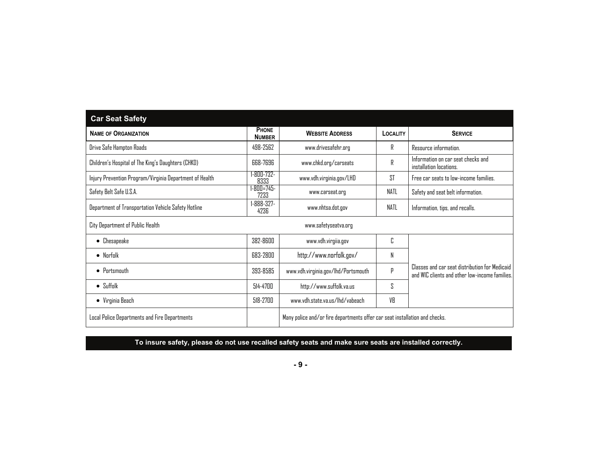| <b>Car Seat Safety</b>                                  |                           |                                                                             |                 |                                                                                                  |
|---------------------------------------------------------|---------------------------|-----------------------------------------------------------------------------|-----------------|--------------------------------------------------------------------------------------------------|
| <b>NAME OF ORGANIZATION</b>                             | PHONE<br><b>NUMBER</b>    | <b>WEBSITE ADDRESS</b>                                                      | <b>LOCALITY</b> | <b>SERVICE</b>                                                                                   |
| Drive Safe Hampton Roads                                | 498-2562                  | www.drivesafehr.org                                                         | R               | Resource information.                                                                            |
| Children's Hospital of The King's Daughters (CHKD)      | 668-7696                  | www.chkd.org/carseats                                                       | R               | Information on car seat checks and<br>installation locations.                                    |
| Injury Prevention Program/Virginia Department of Health | 1-800-732-<br>8333        | www.vdh.virginia.gov/LHD                                                    | <b>ST</b>       | Free car seats to low-income families.                                                           |
| Safety Belt Safe U.S.A.                                 | $1 - 800 = 745 -$<br>7233 | www.carseat.org                                                             | NATL            | Safety and seat belt information.                                                                |
| Department of Transportation Vehicle Safety Hotline     | $1 - 888 - 327 -$<br>4236 | www.nhtsa.dot.gov                                                           | NATL            | Information, tips, and recalls.                                                                  |
| City Department of Public Health                        |                           | www.safetyseatva.org                                                        |                 |                                                                                                  |
| $\bullet$ Chesapeake                                    | 382-8600                  | www.vdh.virgiia.gov                                                         | C               |                                                                                                  |
| $\bullet$ Norfolk                                       | 683-2800                  | http://www.norfolk.gov/                                                     | N               |                                                                                                  |
| $\bullet$ Portsmouth                                    | 393-8585                  | www.vdh.virginia.gov/lhd/Portsmouth                                         | P               | Classes and car seat distribution for Medicaid<br>and WIC clients and other low-income families. |
| $\bullet$ Suffolk                                       | 514-4700                  | http://www.suffolk.va.us                                                    | S               |                                                                                                  |
| $\bullet$ Virginia Beach                                | 518-2700                  | www.vdh.state.va.us/lhd/vabeach                                             | VB              |                                                                                                  |
| Local Police Departments and Fire Departments           |                           | Many police and/or fire departments offer car seat installation and checks. |                 |                                                                                                  |

# **To insure safety, please do not use recalled safety seats and make sure seats are installed correctly.**

**- 9 -**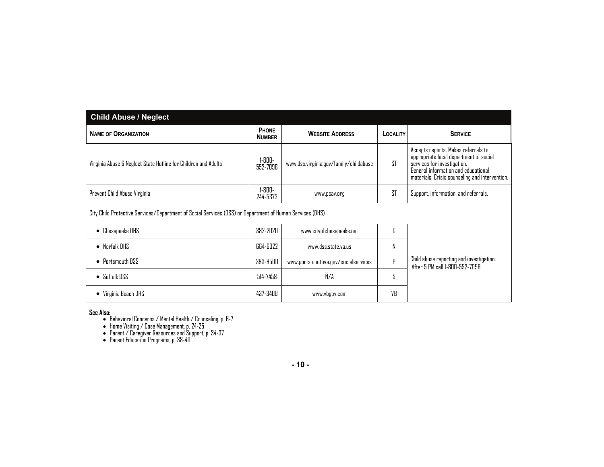| <b>Child Abuse / Neglect</b>                                                                             |                               |                                        |           |                                                                                                                                                                                                       |  |
|----------------------------------------------------------------------------------------------------------|-------------------------------|----------------------------------------|-----------|-------------------------------------------------------------------------------------------------------------------------------------------------------------------------------------------------------|--|
| <b>NAME OF ORGANIZATION</b>                                                                              | <b>PHONE</b><br><b>NUMBER</b> | <b>WEBSITE ADDRESS</b>                 | LOCALITY  | <b>SERVICE</b>                                                                                                                                                                                        |  |
| Virginia Abuse & Neglect State Hotline for Children and Adults                                           | $1 - 800 -$<br>552-7096       | www.dss.virginia.gov/family/childabuse | <b>ST</b> | Accepts reports. Makes referrals to<br>appropriate local department of social<br>services for investigation.<br>General information and educational<br>materials. Crisis counseling and intervention. |  |
| Prevent Child Abuse Virginia                                                                             | 1-800-<br>244-5373            | www.pcav.org                           | <b>ST</b> | Support, information, and referrals.                                                                                                                                                                  |  |
| City Child Protective Services/Department of Social Services (DSS) or Department of Human Services (DHS) |                               |                                        |           |                                                                                                                                                                                                       |  |
| $\bullet$ Chesapeake DHS                                                                                 | 382-2020                      | www.cityofchesapeake.net               | C         |                                                                                                                                                                                                       |  |
| $\bullet$ Norfolk DHS                                                                                    | 664-6022                      | www.dss.state.va.us                    | N         |                                                                                                                                                                                                       |  |
| $\bullet$ Portsmouth DSS                                                                                 | 393-9500                      | www.portsmouthva.gov/socialservices    | p         | Child abuse reporting and investigation.<br>After 5 PM call 1-800-552-7096                                                                                                                            |  |
| $\bullet$ Suffolk DSS                                                                                    | 514-7458                      | N/A                                    | S         |                                                                                                                                                                                                       |  |
| $\bullet$ Virginia Beach DHS                                                                             | 437-3400                      | www.vbgov.com                          | VB        |                                                                                                                                                                                                       |  |

See Also:<br>
• Behavioral Concerns / Mental Health / Counseling, p. 6-7<br>
• Home Visiting / Case Management, p. 24-25<br>
• Parent *C* Laregiver Resources and Support, p. 34-37<br>
• Parent Education Programs, p. 38-40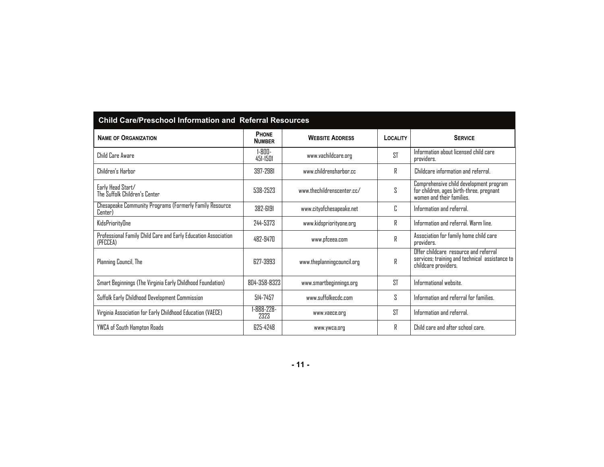| <b>Child Care/Preschool Information and Referral Resources</b>             |                               |                            |                 |                                                                                                                  |  |  |
|----------------------------------------------------------------------------|-------------------------------|----------------------------|-----------------|------------------------------------------------------------------------------------------------------------------|--|--|
| <b>NAME OF ORGANIZATION</b>                                                | <b>PHONE</b><br><b>NUMBER</b> | <b>WEBSITE ADDRESS</b>     | <b>LOCALITY</b> | <b>SERVICE</b>                                                                                                   |  |  |
| Child Care Aware                                                           | $1 - 800 -$<br>451-1501       | www.vachildcare.org        | <b>ST</b>       | Information about licensed child care<br>providers.                                                              |  |  |
| Children's Harbor                                                          | 397-2981                      | www.childrensharbor.cc     | R               | Childcare information and referral.                                                                              |  |  |
| Early Head Start/<br>The Suffolk Children's Center                         | 538-2523                      | www.thechildrenscenter.cc/ | S               | Comprehensive child development program<br>for children, ages birth-three, pregnant<br>women and their families. |  |  |
| Chesapeake Community Programs (Formerly Family Resource<br>Center)         | 382-6191                      | www.cityofchesapeake.net   | C               | Information and referral.                                                                                        |  |  |
| KidsPriorityDne                                                            | 244-5373                      | www.kidspriorityone.org    | R               | Information and referral. Warm line.                                                                             |  |  |
| Professional Family Child Care and Early Education Association<br>(PFCCEA) | 482-9470                      | www.pfceea.com             | R               | Association for family home child care<br>providers.                                                             |  |  |
| Planning Council, The                                                      | 627-3993                      | www.theplanningcouncil.org | R               | Offer childcare resource and referral<br>services; training and technical assistance to<br>childcare providers.  |  |  |
| Smart Beginnings (The Virginia Early Childhood Foundation)                 | 804-358-8323                  | www.smartbeginnings.org    | <b>ST</b>       | Informational website.                                                                                           |  |  |
| Suffolk Early Childhood Development Commission                             | 514-7457                      | www.suffolkecdc.com        | S               | Information and referral for families.                                                                           |  |  |
| Virginia Association for Early Childhood Education (VAECE)                 | -888-228-<br>2323             | www.vaece.org              | ST              | Information and referral.                                                                                        |  |  |
| YWCA of South Hampton Roads                                                | 625-4248                      | www.ywca.org               | R               | Child care and after school care.                                                                                |  |  |

**- 11 -**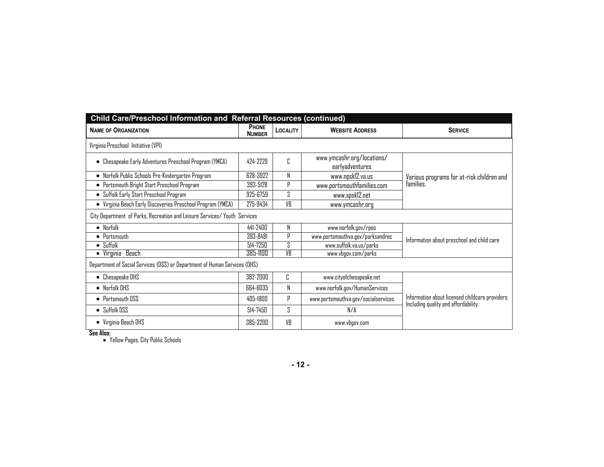| Child Care/Preschool Information and Referral Resources (continued)       |                               |          |                                               |                                                                                         |  |  |  |
|---------------------------------------------------------------------------|-------------------------------|----------|-----------------------------------------------|-----------------------------------------------------------------------------------------|--|--|--|
| <b>NAME OF ORGANIZATION</b>                                               | <b>PHONE</b><br><b>NUMBER</b> | LOCALITY | <b>WEBSITE ADDRESS</b>                        | <b>SERVICE</b>                                                                          |  |  |  |
| Virginia Preschool Initiative (VPI)                                       |                               |          |                                               |                                                                                         |  |  |  |
| • Chesapeake Early Adventures Preschool Program (YMCA)                    | 424-2229                      | ſ.       | www.ymcashr.org/locations/<br>earlyadventures |                                                                                         |  |  |  |
| • Norfolk Public Schools Pre-Kindergarten Program                         | 628-3922                      | N        | www.npsk12.va.us                              | Various programs for at-risk children and                                               |  |  |  |
| • Portsmouth Bright Start Preschool Program                               | 393-5128                      | p        | www.portsmouthfamilies.com                    | families.                                                                               |  |  |  |
| • Suffolk Early Start Preschool Program                                   | 925-6759                      | S        | www.spsk12.net                                |                                                                                         |  |  |  |
| • Virginia Beach Early Discoveries Preschool Program (YMCA)               | 275-9434                      | VR       | www.ymcashr.org                               |                                                                                         |  |  |  |
| City Department of Parks, Recreation and Leisure Services/ Youth Services |                               |          |                                               |                                                                                         |  |  |  |
| $\bullet$ Norfolk                                                         | 441-2400                      | N        | www.norfolk.gov/rpos                          |                                                                                         |  |  |  |
| $\bullet$ Portsmouth                                                      | 393-8481                      | p        | www.portsmouthva.gov/parksandrec              | Information about preschool and child care                                              |  |  |  |
| $\bullet$ Suffolk                                                         | 514-7250                      | ς        | www.suffolk.va.us/parks                       |                                                                                         |  |  |  |
| • Virginia Beach                                                          | 385-1100                      | VR       | www.vbgov.com/parks                           |                                                                                         |  |  |  |
| Department of Social Services (DSS) or Department of Human Services (DHS) |                               |          |                                               |                                                                                         |  |  |  |
| • Chesapeake DHS                                                          | 382-2000                      | C        | www.cityofchesapeake.net                      |                                                                                         |  |  |  |
| $\bullet$ Norfolk DHS                                                     | 664-6035                      | N        | www.norfolk.gov/HumanServices                 |                                                                                         |  |  |  |
| • Portsmouth DSS                                                          | 405-1800                      | p        | www.portsmouthva.gov/socialservices           | Information about licensed childcare providers.<br>Including quality and affordability. |  |  |  |
| $\bullet$ Suffolk DSS                                                     | 514-7450                      | S        | N/A                                           |                                                                                         |  |  |  |
| • Virginia Beach DHS                                                      | 385-3200                      | VR       | www.vbgov.com                                 |                                                                                         |  |  |  |

**See Also:**  Yellow Pages, City Public Schools

**- 12 -**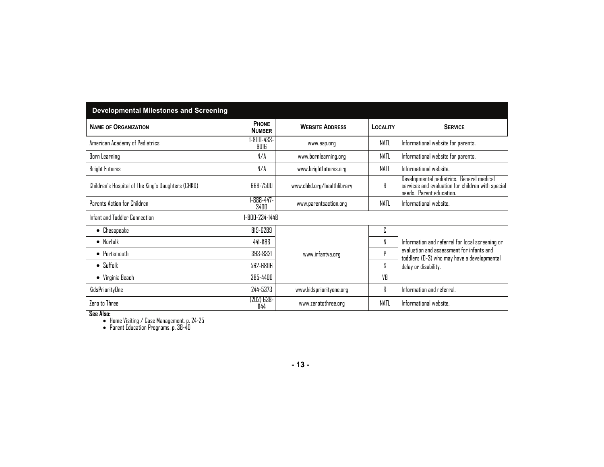| <b>Developmental Milestones and Screening</b>      |                               |                            |                 |                                                                                                                            |
|----------------------------------------------------|-------------------------------|----------------------------|-----------------|----------------------------------------------------------------------------------------------------------------------------|
| <b>NAME OF ORGANIZATION</b>                        | <b>PHONE</b><br><b>NUMBER</b> | <b>WEBSITE ADDRESS</b>     | <b>LOCALITY</b> | <b>SERVICE</b>                                                                                                             |
| American Academy of Pediatrics                     | -800-433-<br>9016             | www.aap.org                | NATL            | Informational website for parents.                                                                                         |
| Born Learning                                      | N/A                           | www.bornlearning.org       | <b>NATL</b>     | Informational website for parents.                                                                                         |
| <b>Bright Futures</b>                              | N/A                           | www.brightfutures.org      | NATL            | Informational website.                                                                                                     |
| Children's Hospital of The King's Daughters (CHKD) | 668-7500                      | www.chkd.org/healthlibrary | R               | Developmental pediatrics. General medical<br>services and evaluation for children with special<br>needs. Parent education. |
| Parents Action for Children                        | 1-888-447-<br>3400            | www.parentsaction.org      | NATL            | Informational website.                                                                                                     |
| Infant and Toddler Connection                      | 1-800-234-1448                |                            |                 |                                                                                                                            |
| $\bullet$ Chesapeake                               | 819-6289                      |                            | C               |                                                                                                                            |
| $\bullet$ Norfolk                                  | 441-1186                      |                            | N               | Information and referral for local screening or                                                                            |
| $\bullet$ Portsmouth                               | 393-8321                      | www.infantva.org           | p               | evaluation and assessment for infants and<br>toddlers (D-3) who may have a developmental                                   |
| $\bullet$ Suffolk                                  | 562-6806                      |                            | S.              | delay or disability.                                                                                                       |
| $\bullet$ Virginia Beach                           | 385-4400                      |                            | VB              |                                                                                                                            |
| KidsPriorityOne                                    | 244-5373                      | www.kidspriorityone.org    | R               | Information and referral.                                                                                                  |
| Zero to Three                                      | $(202)$ 638-<br>1144          | www.zerotothree.org        | <b>NATL</b>     | Informational website.                                                                                                     |

**See Also:**  Home Visiting / Case Management, p. 24-25 Parent Education Programs, p. 38-40

**- 13 -**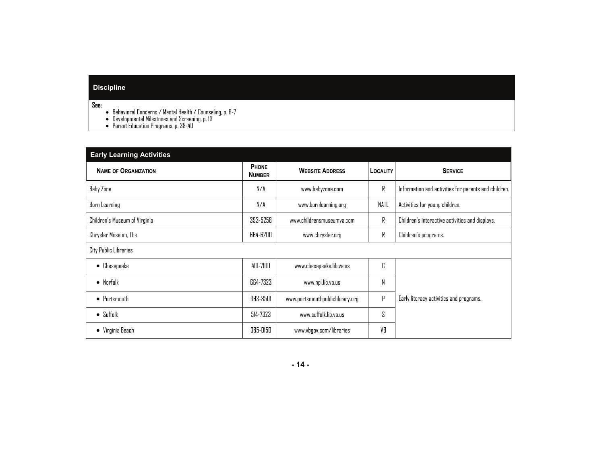# **Discipline**

**See:** 

- Behavioral Concerns / Mental Health / Counseling, p. 6-7 Developmental Milestones and Screening, p. 13 Parent Education Programs, p. 38-40
- 
- 

| <b>Early Learning Activities</b> |                               |                                 |          |                                                      |
|----------------------------------|-------------------------------|---------------------------------|----------|------------------------------------------------------|
| <b>NAME OF ORGANIZATION</b>      | <b>PHONE</b><br><b>NUMBER</b> | <b>WEBSITE ADDRESS</b>          | LOCALITY | <b>SERVICE</b>                                       |
| Baby Zone                        | N/A                           | www.babyzone.com                | R        | Information and activities for parents and children. |
| Born Learning                    | N/A                           | www.bornlearning.org            | NATL     | Activities for young children.                       |
| Children's Museum of Virginia    | 393-5258                      | www.childrensmuseumva.com       | R        | Children's interactive activities and displays.      |
| Chrysler Museum, The             | 664-6200                      | www.chrysler.org                | R        | Children's programs.                                 |
| City Public Libraries            |                               |                                 |          |                                                      |
| $\bullet$ Chesapeake             | 410-7100                      | www.chesapeake.lib.va.us        | C        |                                                      |
| $\bullet$ Norfolk                | 664-7323                      | www.npl.lib.va.us               | N        |                                                      |
| $\bullet$ Portsmouth             | 393-8501                      | www.portsmouthpubliclibrary.org | Ρ        | Early literacy activities and programs.              |
| $\bullet$ Suffolk                | 514-7323                      | www.suffolk.lib.va.us           | S        |                                                      |
| • Virginia Beach                 | 385-0150                      | www.vbgov.com/libraries         | VB       |                                                      |

**- 14 -**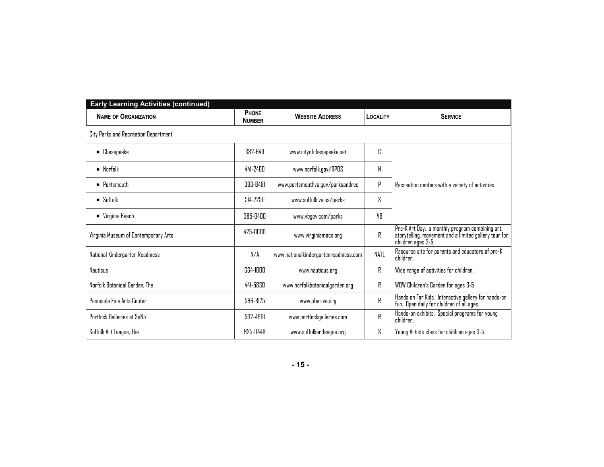| <b>Early Learning Activities (continued)</b> |                               |                                       |                 |                                                                                                                                |  |  |
|----------------------------------------------|-------------------------------|---------------------------------------|-----------------|--------------------------------------------------------------------------------------------------------------------------------|--|--|
| <b>NAME OF ORGANIZATION</b>                  | <b>PHONE</b><br><b>NUMBER</b> | <b>WEBSITE ADDRESS</b>                | <b>LOCALITY</b> | <b>SERVICE</b>                                                                                                                 |  |  |
| City Parks and Recreation Department         |                               |                                       |                 |                                                                                                                                |  |  |
| Chesapeake<br>٠                              | 382-6411                      | www.cityofchesapeake.net              | C               |                                                                                                                                |  |  |
| $\bullet$ Norfolk                            | 441-2400                      | www.norfolk.gov/RPOS                  | N               |                                                                                                                                |  |  |
| $\bullet$ Portsmouth                         | 393-8481                      | www.portsmouthva.gov/parksandrec      | р               | Recreation centers with a variety of activities.                                                                               |  |  |
| $\bullet$ Suffolk                            | 514-7250                      | www.suffolk.va.us/parks               | ζ               |                                                                                                                                |  |  |
| • Virginia Beach                             | 385-0400                      | www.vbgov.com/parks                   | VR              |                                                                                                                                |  |  |
| Virginia Museum of Contemporary Arts         | 425-0000                      | www.virginiamoca.org                  | R               | Pre-K Art Day: a monthly program combining art,<br>storytelling, movement and a limited gallery tour for<br>children ages 3-5. |  |  |
| National Kindergarten Readiness              | N/A                           | www.nationalkindergartenreadiness.com | NATL            | Resource site for parents and educators of pre-K<br>children.                                                                  |  |  |
| <b>Nauticus</b>                              | <b>RR4-INNN</b>               | www.nauticus.org                      | R               | Wide range of activities for children.                                                                                         |  |  |
| Norfolk Botanical Garden. The                | 441-5830                      | www.norfolkbotanicalgarden.org        | R               | WOW Children's Garden for ages 3-5                                                                                             |  |  |
| Peninsula Fine Arts Center                   | 596-8175                      | www.pfac-va.org                       | R               | Hands on For Kids. Interactive gallery for hands-on<br>fun. Open daily for children of all ages.                               |  |  |
| Portlock Galleries at SoNo                   | $502 - 4901$                  | www.portlockgalleries.com             | R               | Hands-on exhibits. Special programs for young<br>children.                                                                     |  |  |
| Suffolk Art League, The                      | 925-0448                      | www.suffolkartleague.org              | S.              | Young Artists class for children ages 3-5.                                                                                     |  |  |

**- 15 -**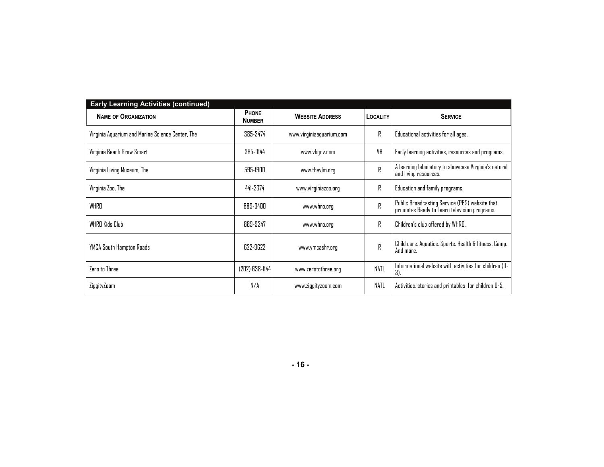| <b>Early Learning Activities (continued)</b>     |                               |                          |                 |                                                                                                |
|--------------------------------------------------|-------------------------------|--------------------------|-----------------|------------------------------------------------------------------------------------------------|
| <b>NAME OF ORGANIZATION</b>                      | <b>PHONE</b><br><b>NUMBER</b> | <b>WEBSITE ADDRESS</b>   | <b>LOCALITY</b> | <b>SERVICE</b>                                                                                 |
| Virginia Aquarium and Marine Science Center, The | 385-3474                      | www.virginiaaquarium.com | R               | Educational activities for all ages.                                                           |
| Virginia Beach Grow Smart                        | 385-0144                      | www.vbgov.com            | VB              | Early learning activities, resources and programs.                                             |
| Virginia Living Museum, The                      | 595-1900                      | www.thevlm.org           | R               | A learning laboratory to showcase Virginia's natural<br>and living resources.                  |
| Virginia Zoo, The                                | 441-2374                      | www.virginiazoo.org      | R               | Education and family programs.                                                                 |
| <b>WHRD</b>                                      | 889-9400                      | www.whro.org             | R               | Public Broadcasting Service (PBS) website that<br>promotes Ready to Learn television programs. |
| WHRO Kids Club                                   | 889-9347                      | www.whro.org             | R               | Children's club offered by WHRO.                                                               |
| YMCA South Hampton Roads                         | 622-9622                      | www.ymcashr.org          | R               | Child care. Aquatics. Sports. Health & fitness. Camp.<br>And more.                             |
| Zero to Three                                    | (202) 638-1144                | www.zerotothree.org      | <b>NATL</b>     | Informational website with activities for children (D-<br>$3)$ .                               |
| ZiggityZoom                                      | N/A                           | www.ziggityzoom.com      | <b>NATL</b>     | Activities, stories and printables for children D-5.                                           |

**- 16 -**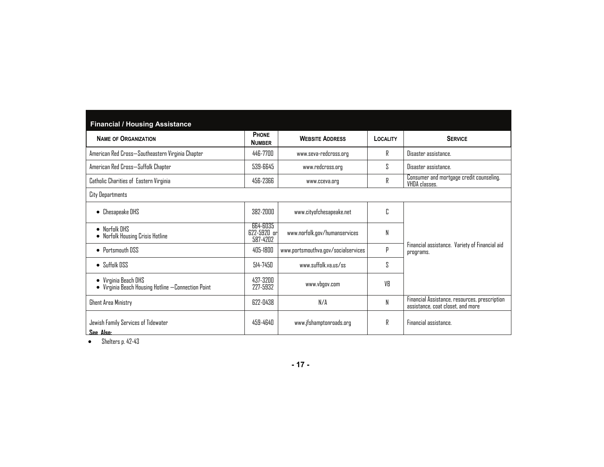| <b>Financial / Housing Assistance</b>                                    |                                         |                                     |          |                                                                                    |
|--------------------------------------------------------------------------|-----------------------------------------|-------------------------------------|----------|------------------------------------------------------------------------------------|
| <b>NAME OF ORGANIZATION</b>                                              | <b>PHONE</b><br><b>NUMBER</b>           | <b>WEBSITE ADDRESS</b>              | LOCALITY | <b>SERVICE</b>                                                                     |
| American Red Cross—Southeastern Virginia Chapter                         | 446-7700                                | www.seva-redcross.org               | R        | Disaster assistance.                                                               |
| American Red Cross—Suffolk Chapter                                       | 539-6645                                | www.redcross.org                    | ζ        | Disaster assistance.                                                               |
| Catholic Charities of Eastern Virginia                                   | 456-2366                                | www.cceva.org                       |          | Consumer and mortgage credit counseling.<br>VHDA classes.                          |
| City Departments                                                         |                                         |                                     |          |                                                                                    |
| Chesapeake DHS                                                           | 382-2000                                | www.cityofchesapeake.net            | C        |                                                                                    |
| $\bullet$ Norfolk DHS<br>Norfolk Housing Crisis Hotline                  | 664-6035<br>$622 - 5920$ or<br>587-4202 | www.norfolk.gov/humanservices       | N        |                                                                                    |
| • Portsmouth DSS                                                         | 405-1800                                | www.portsmouthva.gov/socialservices | P        | Financial assistance. Variety of Financial aid<br>programs.                        |
| $\bullet$ Suffolk DSS                                                    | $514 - 745$                             | www.suffolk.va.us/ss                | S        |                                                                                    |
| • Virginia Beach DHS<br>Virginia Beach Housing Hotline -Connection Point | 437-3200<br>227-5932                    | www.vbgov.com                       | VR       |                                                                                    |
| <b>Ghent Area Ministry</b>                                               | 677-0438                                | N/A                                 | N        | Financial Assistance, resources, prescription<br>assistance, coat closet, and more |
| Jewish Family Services of Tidewater<br>See Also:                         | 459-4640                                | www.jfshamptonroads.org             | R        | Financial assistance.                                                              |

Shelters p. 42-43

**- 17 -**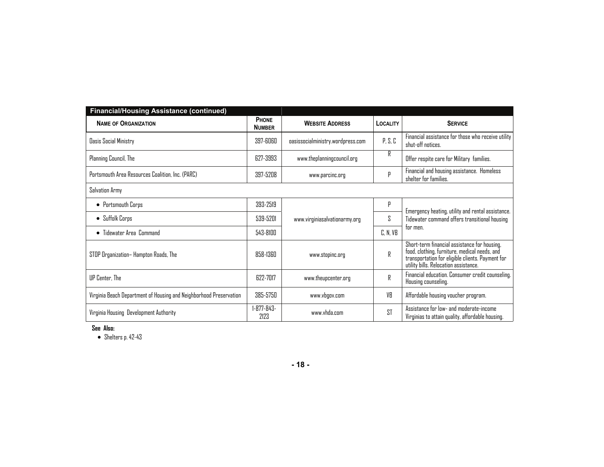| <b>Financial/Housing Assistance (continued)</b>                    |                           |                                   |                 |                                                                                                                                                                                            |
|--------------------------------------------------------------------|---------------------------|-----------------------------------|-----------------|--------------------------------------------------------------------------------------------------------------------------------------------------------------------------------------------|
| <b>NAME OF ORGANIZATION</b>                                        | PHONE<br><b>NUMBER</b>    | <b>WEBSITE ADDRESS</b>            | <b>LOCALITY</b> | <b>SERVICE</b>                                                                                                                                                                             |
| <b>Dasis Social Ministry</b>                                       | 397-6060                  | oasissocialministry.wordpress.com | P, S, C         | Financial assistance for those who receive utility<br>shut-off notices.                                                                                                                    |
| Planning Council, The                                              | 627-3993                  | www.theplanningcouncil.org        | R               | Offer respite care for Military families.                                                                                                                                                  |
| Portsmouth Area Resources Coalition, Inc. (PARC)                   | 397-5208                  | www.parcinc.org                   | р               | Financial and housing assistance. Homeless<br>shelter for families.                                                                                                                        |
| Salvation Army                                                     |                           |                                   |                 |                                                                                                                                                                                            |
| • Portsmouth Corps                                                 | 393-2519                  |                                   | р               | Emergency heating, utility and rental assistance.                                                                                                                                          |
| • Suffolk Corps                                                    | 539-5201                  | www.virginiasalvationarmy.org     | S               | Tidewater command offers transitional housing                                                                                                                                              |
| • Tidewater Area Command                                           | 543-8100                  |                                   | C, N, VB        | tor men.                                                                                                                                                                                   |
| STOP Organization– Hampton Roads, The                              | 858-1360                  | www.stopinc.org                   | R               | Short-term financial assistance for housing,<br>food, clothing, furniture, medical needs, and<br>transportation for eligible clients. Payment for<br>utility bills. Relocation assistance. |
| UP Center, The                                                     | 622-7017                  | www.theupcenter.org               | R               | Financial education. Consumer credit counseling.<br>Housing counseling.                                                                                                                    |
| Virginia Beach Department of Housing and Neighborhood Preservation | 385-5750                  | www.vbgov.com                     | VB              | Affordable housing voucher program.                                                                                                                                                        |
| Virginia Housing Development Authority                             | $1 - 877 - 843 -$<br>2123 | www.vhda.com                      | <b>ST</b>       | Assistance for low- and moderate-income<br>Virginias to attain quality, affordable housing.                                                                                                |

**See Also:** 

Shelters p. 42-43

**- 18 -**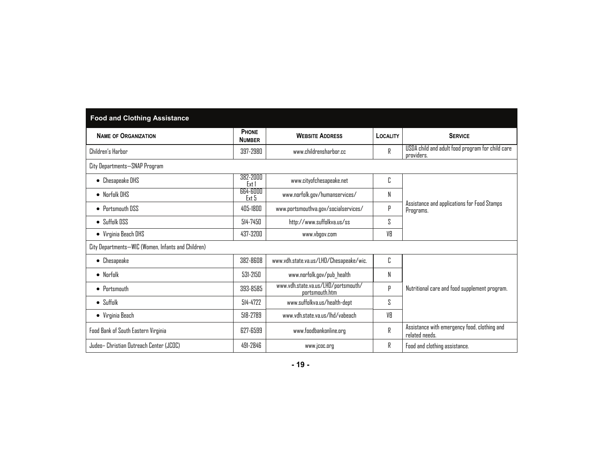| <b>Food and Clothing Assistance</b>                |                        |                                                       |          |                                                                |  |
|----------------------------------------------------|------------------------|-------------------------------------------------------|----------|----------------------------------------------------------------|--|
| <b>NAME OF ORGANIZATION</b>                        | PHONE<br><b>NUMBER</b> | <b>WEBSITE ADDRESS</b>                                | LOCALITY | <b>SERVICE</b>                                                 |  |
| Children's Harbor                                  | 397-2980               | www.childrensharbor.cc                                | R        | USDA child and adult food program for child care<br>providers. |  |
| City Departments-SNAP Program                      |                        |                                                       |          |                                                                |  |
| • Chesapeake DHS                                   | 382-2000<br>Ext        | www.cityofchesapeake.net                              | C        |                                                                |  |
| $\bullet$ Norfolk DHS                              | 664-6000<br>Ext 5      | www.norfolk.gov/humanservices/                        | Ν        |                                                                |  |
| • Portsmouth DSS                                   | 405-1800               | www.portsmouthva.gov/socialservices/                  | p        | Assistance and applications for Food Stamps<br>Programs.       |  |
| $\bullet$ Suffolk DSS                              | 514-7450               | http://www.suffolkva.us/ss                            | ζ        |                                                                |  |
| • Virginia Beach DHS                               | 437-3200               | www.vbgov.com                                         | VB       |                                                                |  |
| City Departments-WIC (Women, Infants and Children) |                        |                                                       |          |                                                                |  |
| $\bullet$ Chesapeake                               | 382-8608               | www.vdh.state.va.us/LHD/Chesapeake/wic.               | C        |                                                                |  |
| $\bullet$ Norfolk                                  | 531-2150               | www.norfolk.gov/pub_health                            | N        |                                                                |  |
| $\bullet$ Portsmouth                               | 393-8585               | www.vdh.state.va.us/LHD/portsmouth/<br>portsmouth.htm | P        | Nutritional care and food supplement program.                  |  |
| $\bullet$ Suffolk                                  | 514-4722               | www.suffolkva.us/health-dept                          | S        |                                                                |  |
| • Virginia Beach                                   | 518-2789               | www.vdh.state.va.us/lhd/vabeach                       | VB       |                                                                |  |
| Food Bank of South Eastern Virginia                | 627-6599               | www.foodbankonline.org                                | R        | Assistance with emergency food, clothing and<br>related needs. |  |
| Judeo– Christian Outreach Center (JCOC)            | 491-2846               | www.jcoc.org                                          | R        | Food and clothing assistance.                                  |  |

| ۰. |  |  |
|----|--|--|
|----|--|--|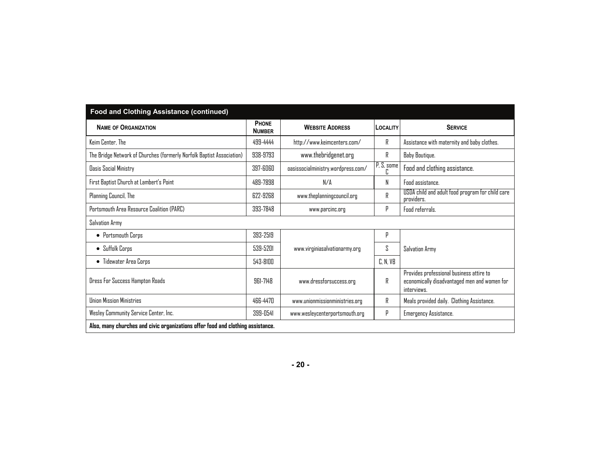| <b>Food and Clothing Assistance (continued)</b>                                 |                        |                                    |                 |                                                                                                         |  |
|---------------------------------------------------------------------------------|------------------------|------------------------------------|-----------------|---------------------------------------------------------------------------------------------------------|--|
| <b>NAME OF ORGANIZATION</b>                                                     | PHONE<br><b>NUMBER</b> | <b>WEBSITE ADDRESS</b>             | <b>LOCALITY</b> | <b>SERVICE</b>                                                                                          |  |
| Keim Center, The                                                                | 499-4444               | http://www.keimcenters.com/        | R               | Assistance with maternity and baby clothes.                                                             |  |
| The Bridge Network of Churches (formerly Norfolk Baptist Association)           | 938-9793               | www.thebridgenet.org               | R               | Baby Boutique.                                                                                          |  |
| <b>Dasis Social Ministry</b>                                                    | 397-6060               | oasissocialministry.wordpress.com/ | P, S, some<br>C | Food and clothing assistance.                                                                           |  |
| First Baptist Church at Lambert's Point                                         | 489-7898               | N/A                                | N               | <b>Fond assistance.</b>                                                                                 |  |
| Planning Council, The                                                           | 622-9268               | www.theplanningcouncil.org         | R               | USDA child and adult food program for child care<br>providers.                                          |  |
| Portsmouth Area Resource Coalition (PARC)                                       | 393-7848               | www.parcinc.org                    | P               | <b>Fond referrals.</b>                                                                                  |  |
| Salvation Army                                                                  |                        |                                    |                 |                                                                                                         |  |
| • Portsmouth Corps                                                              | 393-2519               |                                    | p               |                                                                                                         |  |
| $\bullet$ Suffolk Corps                                                         | 539-5201               | www.virginiasalvationarmy.org      | S               | Salvation Army                                                                                          |  |
| • Tidewater Area Corps                                                          | 543-8100               |                                    | C, N, VB        |                                                                                                         |  |
| Dress For Success Hampton Roads                                                 | 961-7148               | www.dressforsuccess.org            | R               | Provides professional business attire to<br>economically disadvantaged men and women for<br>interviews. |  |
| <b>Ilninn Missinn Ministries</b>                                                | 466-4470               | www.unionmissionministries.org     | R               | Meals provided daily. Clothing Assistance.                                                              |  |
| Wesley Community Service Center, Inc.                                           | 399-0541               | www.wesleycenterportsmouth.org     | P               | Emergency Assistance.                                                                                   |  |
| Also, many churches and civic organizations offer food and clothing assistance. |                        |                                    |                 |                                                                                                         |  |

**- 20 -**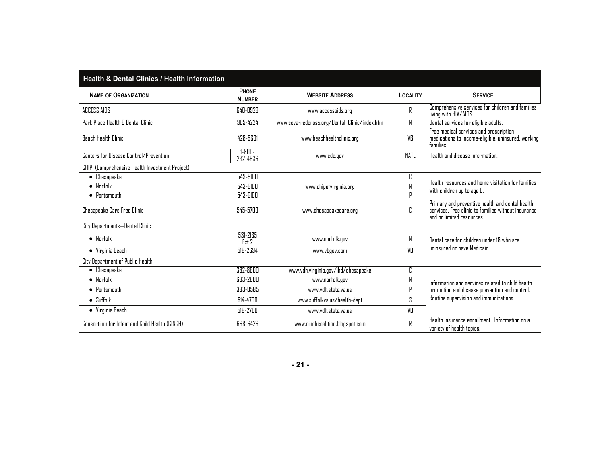| <b>Health &amp; Dental Clinics / Health Information</b> |                         |                                               |             |                                                                                                                                     |
|---------------------------------------------------------|-------------------------|-----------------------------------------------|-------------|-------------------------------------------------------------------------------------------------------------------------------------|
| <b>NAME OF ORGANIZATION</b>                             | PHONE<br><b>NUMBER</b>  | <b>WEBSITE ADDRESS</b>                        | LOCALITY    | <b>SERVICE</b>                                                                                                                      |
| ACCESS AIDS                                             | 640-0929                | www.accessaids.org                            | R           | Comprehensive services for children and families<br>living with HIV/AIDS.                                                           |
| Park Place Health & Dental Clinic                       | 965-4224                | www.seva-redcross.org/Dental_Clinic/index.htm | N           | Dental services for eligible adults.                                                                                                |
| <b>Beach Health Clinic</b>                              | <b>478-5601</b>         | www.beachhealthclinic.org                     | VR          | Free medical services and prescription<br>medications to income-eligible, uninsured, working<br>families.                           |
| Centers for Disease Control/Prevention                  | $1 - 800 -$<br>232-4636 | www.cdc.gov                                   | <b>NATL</b> | Health and disease information.                                                                                                     |
| CHIP (Comprehensive Health Investment Project)          |                         |                                               |             |                                                                                                                                     |
| Chesapeake<br>$\bullet$                                 | 543-9100                |                                               | C           | Health resources and home visitation for families                                                                                   |
| $\bullet$ Norfolk                                       | 543-9100                | www.chipofvirginia.org                        | N           | with children up to age 6.                                                                                                          |
| $\bullet$ Portsmouth                                    | 543-9100                |                                               | $\Box$      |                                                                                                                                     |
| Chesapeake Care Free Clinic                             | 545-5700                | www.chesapeakecare.org                        | C           | Primary and preventive health and dental health<br>services. Free clinic to families without insurance<br>and or limited resources. |
| City Departments-Dental Clinic                          |                         |                                               |             |                                                                                                                                     |
| $\bullet$ Norfolk                                       | 531-2135<br>Ext 2       | www.norfolk.gov                               | N           | Dental care for children under 18 who are                                                                                           |
| • Virginia Beach                                        | 518-2694                | www.vbgov.com                                 | VB          | uninsured or have Medicaid.                                                                                                         |
| City Department of Public Health                        |                         |                                               |             |                                                                                                                                     |
| Chesapeake<br>$\bullet$                                 | 382-8600                | www.vdh.virginia.gov/lhd/chesapeake           | C           |                                                                                                                                     |
| $\bullet$ Norfolk                                       | 683-2800                | www.norfolk.gov                               | N           | Information and services related to child health                                                                                    |
| $\bullet$ Portsmouth                                    | 393-8585                | www.vdh.state.va.us                           | р           | promotion and disease prevention and control.                                                                                       |
| $\bullet$ Suffolk                                       | 514-4700                | www.suffolkva.us/health-dept                  | S.          | Routine supervision and immunizations.                                                                                              |
| • Virginia Beach                                        | 518-2700                | www.vdh.state.va.us                           | VB          |                                                                                                                                     |
| Consortium for Infant and Child Health (CINCH)          | 668-6426                | www.cinchcoalition.blogspot.com               | R           | Health insurance enrollment. Information on a<br>variety of health topics.                                                          |

**- 21 -**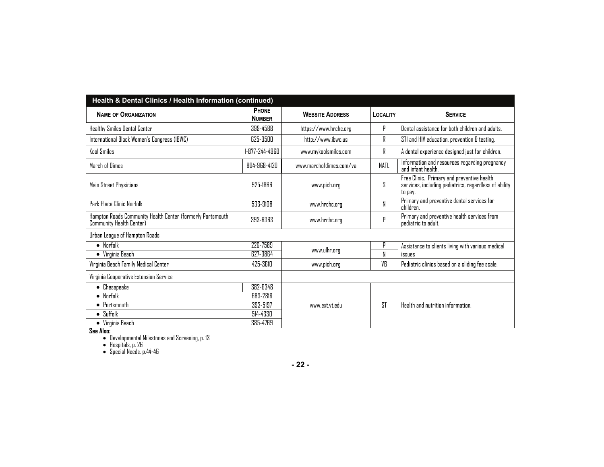| Health & Dental Clinics / Health Information (continued)                               |                               |                         |             |                                                                                                                |  |
|----------------------------------------------------------------------------------------|-------------------------------|-------------------------|-------------|----------------------------------------------------------------------------------------------------------------|--|
| <b>NAME OF ORGANIZATION</b>                                                            | <b>PHONE</b><br><b>NUMBER</b> | <b>WEBSITE ADDRESS</b>  | LOCALITY    | <b>SERVICE</b>                                                                                                 |  |
| Healthy Smiles Dental Center                                                           | 399-4588                      | https://www.hrchc.org   | p           | Dental assistance for both children and adults.                                                                |  |
| International Black Women's Congress (IBWC)                                            | 625-0500                      | http://www.ibwc.us      | R           | STI and HIV education, prevention & testing.                                                                   |  |
| <b>Kool Smiles</b>                                                                     | 1-877-244-4960                | www.mykoolsmiles.com    | R           | A dental experience designed just for children.                                                                |  |
| March of Dimes                                                                         | 804-968-4120                  | www.marchofdimes.com/va | <b>NATL</b> | Information and resources regarding pregnancy<br>and infant health.                                            |  |
| Main Street Physicians                                                                 | 925-1866                      | www.pich.org            | S.          | Free Clinic. Primary and preventive health<br>services, including pediatrics, regardless of ability<br>to pay. |  |
| Park Place Clinic Norfolk                                                              | 533-9108                      | www.hrchc.org           | N           | Primary and preventive dental services for<br>children.                                                        |  |
| Hampton Roads Community Health Center (formerly Portsmouth<br>Community Health Center) | 393-6363                      | www.hrchc.org           | Þ           | Primary and preventive health services from<br>pediatric to adult.                                             |  |
| Urban League of Hampton Roads                                                          |                               |                         |             |                                                                                                                |  |
| $\bullet$ Norfolk                                                                      | 226-7589                      |                         | р           | Assistance to clients living with various medical                                                              |  |
| $\bullet$ Virginia Beach                                                               | 627-0864                      | www.ulhr.org            | N           | issues                                                                                                         |  |
| Virginia Beach Family Medical Center                                                   | 425-3610                      | www.pich.org            | VB          | Pediatric clinics based on a sliding fee scale.                                                                |  |
| Virginia Cooperative Extension Service                                                 |                               |                         |             |                                                                                                                |  |
| Chesapeake<br>$\bullet$                                                                | 382-6348                      |                         |             |                                                                                                                |  |
| $\bullet$ Norfolk                                                                      | 683-2816                      |                         |             |                                                                                                                |  |
| $\bullet$ Portsmouth                                                                   | 393-5197                      | www.ext.vt.edu          | <b>ST</b>   | Health and nutrition information.                                                                              |  |
| $\bullet$ Suffolk                                                                      | 514-4330                      |                         |             |                                                                                                                |  |
| $\bullet$ Virginia Beach                                                               | 385-4769                      |                         |             |                                                                                                                |  |

See Also:<br>
• Developmental Milestones and Screening, p. 13<br>
• Special Needs, p.44-46<br>
• Special Needs, p.44-46

**- 22 -**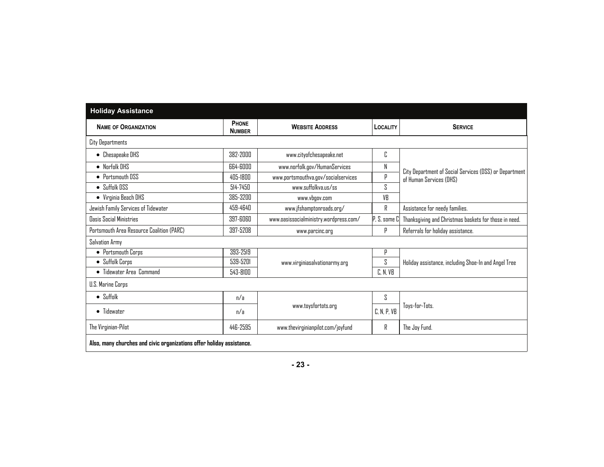| <b>Holiday Assistance</b>                                             |                               |                                        |                   |                                                        |
|-----------------------------------------------------------------------|-------------------------------|----------------------------------------|-------------------|--------------------------------------------------------|
| <b>NAME OF ORGANIZATION</b>                                           | <b>PHONE</b><br><b>NUMBER</b> | <b>WEBSITE ADDRESS</b>                 | LOCALITY          | <b>SERVICE</b>                                         |
| City Departments                                                      |                               |                                        |                   |                                                        |
| • Chesapeake DHS                                                      | 382-2000                      | www.cityofchesapeake.net               | C                 |                                                        |
| $\bullet$ Norfolk DHS                                                 | 664-6000                      | www.norfolk.gov/HumanServices          | N                 | City Department of Social Services (DSS) or Department |
| • Portsmouth DSS                                                      | $405-18$ nn                   | www.portsmouthva.gov/socialservices    | p                 | of Human Services (DHS)                                |
| $\bullet$ Suffolk DSS                                                 | $514 - 7450$                  | www.suffnlkva.us/ss                    | ζ                 |                                                        |
| • Virginia Beach DHS                                                  | 385-3200                      | www.vbgov.com                          | VB                |                                                        |
| Jewish Family Services of Tidewater                                   | 459-4640                      | www.jfshamptonroads.org/               | R                 | Assistance for needy families.                         |
| Dasis Social Ministries                                               | 397-6060                      | www.oasissocialministry.wordpress.com/ | $P, S,$ some $Cl$ | Thanksgiving and Christmas baskets for those in need.  |
| Portsmouth Area Resource Coalition (PARC)                             | 397-5208                      | www.parcinc.org                        | р                 | Referrals for holiday assistance.                      |
| Salvation Army                                                        |                               |                                        |                   |                                                        |
| • Portsmouth Corps                                                    | 393-2519                      |                                        | р                 |                                                        |
| • Suffolk Corps                                                       | 539-5201                      | www.virginiasalvationarmy.org          | 2                 | Holiday assistance, including Shoe-In and Angel Tree   |
| • Tidewater Area Command                                              | 543-8100                      |                                        | C, N, VB          |                                                        |
| U.S. Marine Corps                                                     |                               |                                        |                   |                                                        |
| $\bullet$ Suffolk                                                     | n/a                           |                                        | S                 |                                                        |
| • Tidewater                                                           | n/a                           | www.toysfortots.org                    | C, N, P, VB       | Toys-for-Tots.                                         |
| The Virginian-Pilot                                                   | 446-2595                      | www.thevirginianpilot.com/joyfund      | R                 | The Joy Fund.                                          |
| Also, many churches and civic organizations offer holiday assistance. |                               |                                        |                   |                                                        |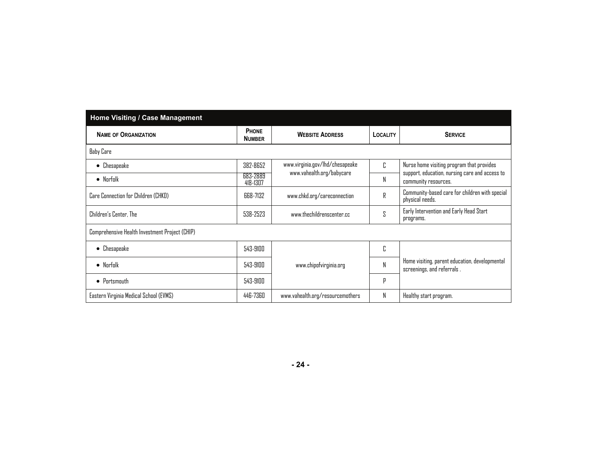| Home Visiting / Case Management                |                               |                                  |          |                                                                              |
|------------------------------------------------|-------------------------------|----------------------------------|----------|------------------------------------------------------------------------------|
| <b>NAME OF ORGANIZATION</b>                    | <b>PHONE</b><br><b>NUMBER</b> | <b>WEBSITE ADDRESS</b>           | LOCALITY | <b>SERVICE</b>                                                               |
| <b>Baby Care</b>                               |                               |                                  |          |                                                                              |
| Chesapeake<br>$\bullet$                        | 382-8652                      | www.virginia.gov/lhd/chesapeake  | Г.       | Nurse home visiting program that provides                                    |
| $\bullet$ Norfolk                              | 683-2889<br>418-1307          | www.vahealth.org/babycare        | N        | support, education, nursing care and access to<br>community resources.       |
| Care Connection for Children (CHKD)            | 668-7132                      | www.chkd.org/careconnection      | R        | Community-based care for children with special<br>physical needs.            |
| Children's Center, The                         | 538-2523                      | www.thechildrenscenter.cc        | S        | Early Intervention and Early Head Start<br>programs.                         |
| Comprehensive Health Investment Project (CHIP) |                               |                                  |          |                                                                              |
| Chesapeake<br>$\bullet$                        | 543-9100                      |                                  | C        |                                                                              |
| $\bullet$ Norfolk                              | 543-9100                      | www.chipofvirginia.org           | N        | Home visiting, parent education, developmental<br>screenings, and referrals. |
| $\bullet$ Portsmouth                           | 543-9100                      |                                  | p        |                                                                              |
| Eastern Virginia Medical School (EVMS)         | 446-7360                      | www.vahealth.org/resourcemothers | N        | Healthy start program.                                                       |

**- 24 -**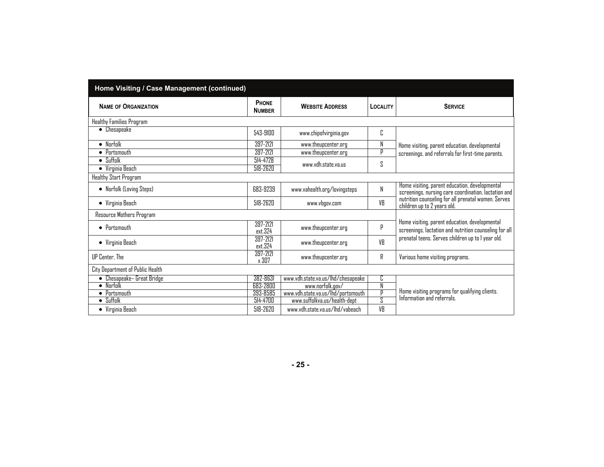| Home Visiting / Case Management (continued) |                        |                                    |          |                                                                                                          |
|---------------------------------------------|------------------------|------------------------------------|----------|----------------------------------------------------------------------------------------------------------|
| <b>NAME OF ORGANIZATION</b>                 | PHONE<br><b>NUMBER</b> | <b>WEBSITE ADDRESS</b>             | LOCALITY | <b>SERVICE</b>                                                                                           |
| Healthy Families Program                    |                        |                                    |          |                                                                                                          |
| • Chesapeake                                | 543-9100               | www.chipofvirginia.gov             | C        |                                                                                                          |
| $\bullet$ Norfolk                           | 397-2121               | www.theupcenter.org                | N        | Home visiting, parent education, developmental                                                           |
| • Portsmouth                                | 397-2121               | www.theupcenter.org                | P        | screenings, and referrals for first-time parents.                                                        |
| $\bullet$ Suffolk<br>• Virginia Beach       | 514-4728<br>518-2620   | www.vdh.state.va.us                | ς        |                                                                                                          |
| Healthy Start Program                       |                        |                                    |          |                                                                                                          |
| • Norfolk (Loving Steps)                    | 683-9239               | www.vahealth.org/lovingsteps       | N        | Home visiting, parent education, developmental<br>screenings, nursing care coordination, lactation and   |
| • Virginia Beach                            | 518-2620               | www.vbgov.com                      | VB       | nutrition counseling for all prenatal women. Serves<br>children up to 2 years old.                       |
| Resource Mothers Program                    |                        |                                    |          |                                                                                                          |
| $\bullet$ Portsmouth                        | 397-2121<br>ext.324    | www.theupcenter.org                | Ρ        | Home visiting, parent education, developmental<br>screenings, lactation and nutrition counseling for all |
| • Virginia Beach                            | 397-2121<br>ext.324    | www.theupcenter.org                | VB       | prenatal teens. Serves children up to I year old.                                                        |
| UP Center, The                              | 397-2121<br>x 307      | www.theupcenter.org                | R        | Various home visiting programs.                                                                          |
| City Department of Public Health            |                        |                                    |          |                                                                                                          |
| • Chesapeake- Great Bridge                  | 382-8631               | www.vdh.state.va.us/lhd/chesapeake | C        |                                                                                                          |
| $\bullet$ Norfolk                           | 683-2800               | www.norfolk.gov/                   | N        |                                                                                                          |
| • Portsmouth                                | 393-8585               | www.vdh.state.va.us/lhd/portsmouth | P        | Home visiting programs for qualifying clients.<br>Information and referrals.                             |
| $\bullet$ Suffolk                           | 514-4700               | www.suffolkva.us/health-dept       | S        |                                                                                                          |
| • Virginia Beach                            | 518-2620               | www.vdh.state.va.us/lhd/vabeach    | VB       |                                                                                                          |

**- 25 -**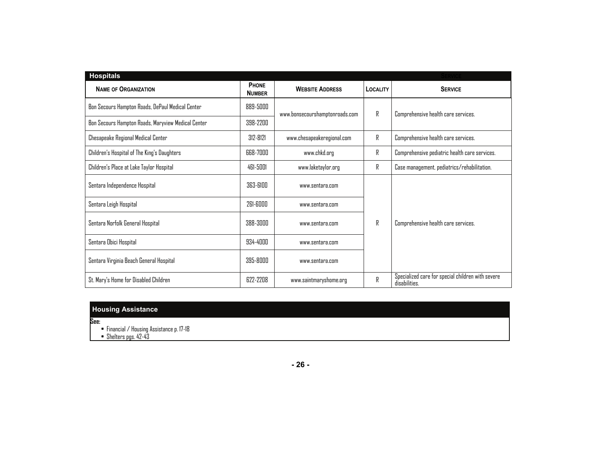| <b>Hospitals</b>                                   |                               |                                |                 |                                                                    |
|----------------------------------------------------|-------------------------------|--------------------------------|-----------------|--------------------------------------------------------------------|
| <b>NAME OF ORGANIZATION</b>                        | <b>PHONE</b><br><b>NUMBER</b> | <b>WEBSITE ADDRESS</b>         | <b>LOCALITY</b> | <b>SERVICE</b>                                                     |
| Bon Secours Hampton Roads, DePaul Medical Center   | 889-5000                      | www.bonsecourshamptonroads.com | R               | Comprehensive health care services.                                |
| Bon Secours Hampton Roads, Maryview Medical Center | 398-2200                      |                                |                 |                                                                    |
| Chesapeake Regional Medical Center                 | $312 - 8121$                  | www.chesapeakeregional.com     | R               | Comprehensive health care services.                                |
| Children's Hospital of The King's Daughters        | 668-7000                      | www.chkd.org                   | R               | Comprehensive pediatric health care services.                      |
| Children's Place at Lake Taylor Hospital           | 461-5001                      | www.laketaylor.org             | R               | Case management, pediatrics/rehabilitation.                        |
| Sentara Independence Hospital                      | 363-6100                      | www.sentara.com                |                 | R<br>Comprehensive health care services.                           |
| Sentara Leigh Hospital                             | 261-6000                      | www.sentara.com                |                 |                                                                    |
| Sentara Norfolk General Hospital                   | 388-3000                      | www.sentara.com                |                 |                                                                    |
| Sentara Obici Hospital                             | 934-4000                      | www.sentara.com                |                 |                                                                    |
| Sentara Virginia Beach General Hospital            | 395-8000                      | www.sentara.com                |                 |                                                                    |
| St. Mary's Home for Disabled Children              | 622-2208                      | www.saintmaryshome.org         | R               | Specialized care for special children with severe<br>disabilities. |

# **Housing Assistance**

**See:** 

• Financial / Housing Assistance p. 17-18

• Shelters pgs. 42-43

**- 26 -**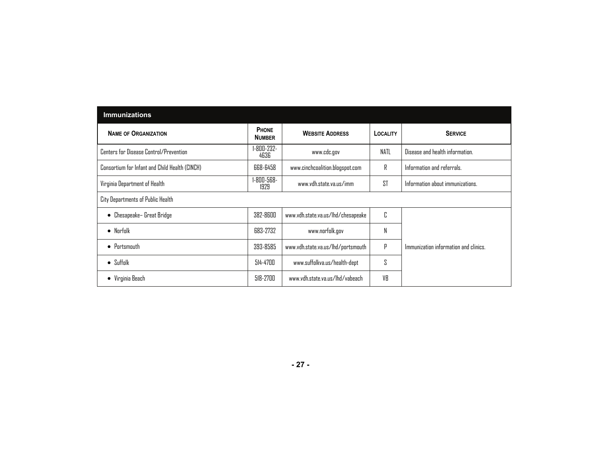| <b>Immunizations</b>                           |                        |                                    |          |                                       |
|------------------------------------------------|------------------------|------------------------------------|----------|---------------------------------------|
| <b>NAME OF ORGANIZATION</b>                    | PHONE<br><b>NUMBER</b> | <b>WEBSITE ADDRESS</b>             | LOCALITY | <b>SERVICE</b>                        |
| Centers for Disease Control/Prevention         | 1-800-232-<br>4636     | www.cdc.gov                        | NATL     | Disease and health information.       |
| Consortium for Infant and Child Health (CINCH) | 668-6458               | www.cinchcoalition.blogspot.com    | R        | Information and referrals.            |
| Virginia Department of Health                  | 1-800-568-<br>1929     | www.vdh.state.va.us/imm            | ST       | Information about immunizations.      |
| City Departments of Public Health              |                        |                                    |          |                                       |
| Chesapeake- Great Bridge<br>٠                  | 382-8600               | www.vdh.state.va.us/lhd/chesapeake | C        |                                       |
| $\bullet$ Norfolk                              | 683-2732               | www.norfolk.gov                    | N        |                                       |
| $\bullet$ Portsmouth                           | 393-8585               | www.vdh.state.va.us/lhd/portsmouth | Ρ        | Immunization information and clinics. |
| $\bullet$ Suffolk                              | 514-4700               | www.suffolkva.us/health-dept       | 2        |                                       |
| • Virginia Beach                               | 518-2700               | www.vdh.state.va.us/lhd/vabeach    | VB       |                                       |

**- 27 -**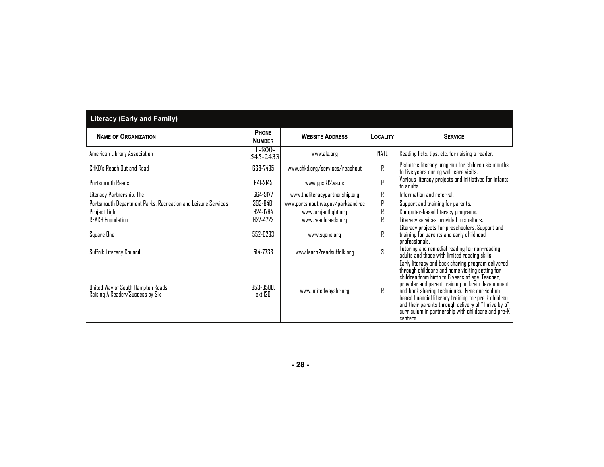| <b>Literacy (Early and Family)</b>                                   |                               |                                  |             |                                                                                                                                                                                                                                                                                                                                                                                                                                                |
|----------------------------------------------------------------------|-------------------------------|----------------------------------|-------------|------------------------------------------------------------------------------------------------------------------------------------------------------------------------------------------------------------------------------------------------------------------------------------------------------------------------------------------------------------------------------------------------------------------------------------------------|
| <b>NAME OF ORGANIZATION</b>                                          | <b>PHONE</b><br><b>NUMBER</b> | <b>WEBSITE ADDRESS</b>           | LOCALITY    | <b>SERVICE</b>                                                                                                                                                                                                                                                                                                                                                                                                                                 |
| American Library Association                                         | $1 - 800 -$<br>545-2433       | www.ala.org                      | <b>NATL</b> | Reading lists, tips, etc. for raising a reader.                                                                                                                                                                                                                                                                                                                                                                                                |
| CHKD's Reach Out and Read                                            | 668-7495                      | www.chkd.org/services/reachout   | R           | Pediatric literacy program for children six months<br>to five years during well-care visits.                                                                                                                                                                                                                                                                                                                                                   |
| Portsmouth Reads                                                     | 641-2145                      | www.pps.kl2.va.us                | р           | Various literacy projects and initiatives for infants<br>to adults.                                                                                                                                                                                                                                                                                                                                                                            |
| Literacy Partnership, The                                            | 664-9177                      | www.theliteracypartnership.org   | R           | Information and referral.                                                                                                                                                                                                                                                                                                                                                                                                                      |
| Portsmouth Department Parks, Recreation and Leisure Services         | 393-8481                      | www.portsmouthva.gov/parksandrec | р           | Support and training for parents.                                                                                                                                                                                                                                                                                                                                                                                                              |
| Project Light                                                        | 624-1764                      | www.projectlight.org             | R           | Computer-based literacy programs.                                                                                                                                                                                                                                                                                                                                                                                                              |
| <b>REACH Foundation</b>                                              | 627-4722                      | www.reachreads.org               | R           | Literacy services provided to shelters.                                                                                                                                                                                                                                                                                                                                                                                                        |
| Square One                                                           | 552-0293                      | www.sqone.org                    | R           | Literacy projects for preschoolers. Support and<br>training for parents and early childhood<br>professionals.                                                                                                                                                                                                                                                                                                                                  |
| Suffolk Literacy Council                                             | 514-7733                      | www.learn2readsuffolk.org        | S.          | Tutoring and remedial reading for non-reading<br>adults and those with limited reading skills.                                                                                                                                                                                                                                                                                                                                                 |
| United Way of South Hampton Roads<br>Raising A Reader/Success by Six | 853-8500.<br>ext.120          | www.unitedwayshr.org             | R           | Early literacy and book sharing program delivered<br>through childcare and home visiting setting for<br>children from birth to 6 years of age. Teacher,<br>provider and parent training on brain development<br>and book sharing techniques. Free curriculum-<br>based financial literacy training for pre-k children<br>and their parents through delivery of "Thrive by 5"<br>curriculum in partnership with childcare and pre-K<br>centers. |

**- 28 -**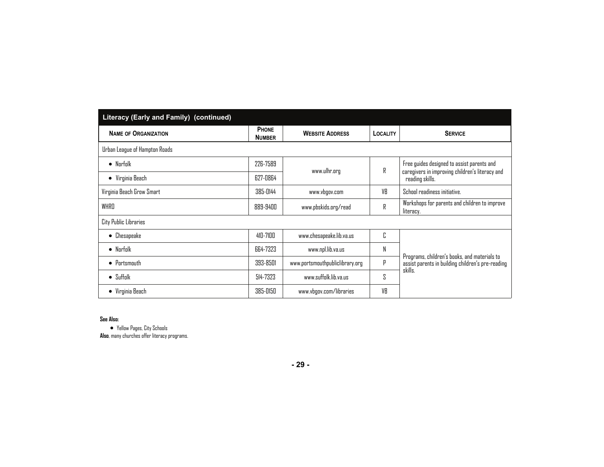| Literacy (Early and Family) (continued) |                               |                                 |                 |                                                                                                   |
|-----------------------------------------|-------------------------------|---------------------------------|-----------------|---------------------------------------------------------------------------------------------------|
| <b>NAME OF ORGANIZATION</b>             | <b>PHONE</b><br><b>NUMBER</b> | <b>WEBSITE ADDRESS</b>          | <b>LOCALITY</b> | <b>SERVICE</b>                                                                                    |
| Urban League of Hampton Roads           |                               |                                 |                 |                                                                                                   |
| $\bullet$ Norfolk                       | 226-7589                      |                                 | R               | Free guides designed to assist parents and                                                        |
| $\bullet$ Virginia Beach                | 627-0864                      | www.ulhr.org                    |                 | caregivers in improving children's literacy and<br>reading skills.                                |
| Virginia Beach Grow Smart               | 385-0144                      | www.vbgov.com                   | VB              | School readiness initiative.                                                                      |
| WHRD                                    | 889-9400                      | www.pbskids.org/read            | R               | Workshops for parents and children to improve<br>literacy.                                        |
| City Public Libraries                   |                               |                                 |                 |                                                                                                   |
| Chesapeake<br>$\bullet$                 | 410-7100                      | www.chesapeake.lib.va.us        | C               |                                                                                                   |
| $\bullet$ Norfolk                       | 664-7323                      | www.npl.lib.va.us               | N               |                                                                                                   |
| $\bullet$ Portsmouth                    | 393-8501                      | www.portsmouthpubliclibrary.org | Ρ               | Programs, children's books, and materials to<br>assist parents in building children's pre-reading |
| $\bullet$ Suffolk                       | 514-7323                      | www.suffalk.lib.va.us           | S               | skills.                                                                                           |
| • Virginia Beach                        | 385-0150                      | www.vbgov.com/libraries         | VB              |                                                                                                   |

#### **See Also:**

 Yellow Pages, City Schools **Also**, many churches offer literacy programs.

**- 29 -**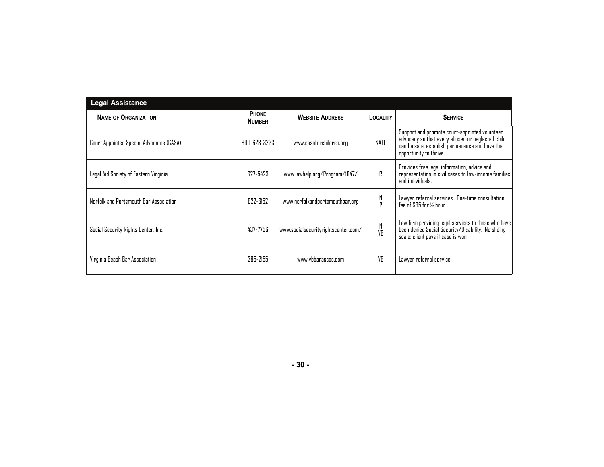| <b>Legal Assistance</b>                  |                               |                                     |                   |                                                                                                                                                                               |
|------------------------------------------|-------------------------------|-------------------------------------|-------------------|-------------------------------------------------------------------------------------------------------------------------------------------------------------------------------|
| <b>NAME OF ORGANIZATION</b>              | <b>PHONE</b><br><b>NUMBER</b> | <b>WEBSITE ADDRESS</b>              | <b>LOCALITY</b>   | <b>SERVICE</b>                                                                                                                                                                |
| Court Appointed Special Advocates (CASA) | 800-628-32331                 | www.casaforchildren.org             | NATL              | Support and promote court-appointed volunteer<br>advocacy so that every abused or neglected child<br>can be safe, establish permanence and have the<br>opportunity to thrive. |
| Legal Aid Society of Eastern Virginia    | 627-5423                      | www.lawhelp.org/Program/1647/       | R                 | Provides free legal information, advice and<br>representation in civil cases to low-income families<br>and individuals.                                                       |
| Norfolk and Portsmouth Bar Association   | 622-3152                      | www.norfolkandportsmouthbar.org     | N<br>$\mathsf{p}$ | Lawyer referral services. One-time consultation<br>fee of $\$35$ for $%$ hour.                                                                                                |
| Social Security Rights Center, Inc.      | 437-7756                      | www.socialsecurityrightscenter.com/ | N<br>VB           | Law firm providing legal services to those who have<br>been denied Social Security/Disability. No sliding<br>scale; client pays if case is won.                               |
| Virginia Beach Bar Association           | 385-2155                      | www.vbbarassoc.com                  | VR                | Lawyer referral service.                                                                                                                                                      |

**- 30 -**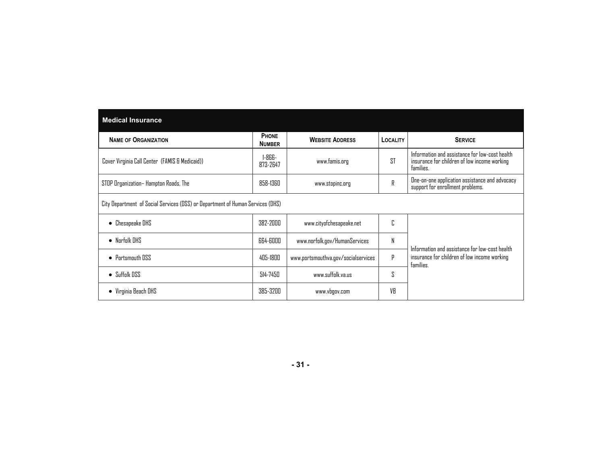| <b>Medical Insurance</b>                                                       |                               |                                     |                 |                                                                                                             |  |  |
|--------------------------------------------------------------------------------|-------------------------------|-------------------------------------|-----------------|-------------------------------------------------------------------------------------------------------------|--|--|
| <b>NAME OF ORGANIZATION</b>                                                    | <b>PHONE</b><br><b>NUMBER</b> | <b>WEBSITE ADDRESS</b>              | <b>LOCALITY</b> | <b>SERVICE</b>                                                                                              |  |  |
| Cover Virginia Call Center (FAMIS & Medicaid))                                 | 1-866-<br>873-2647            | www.famis.org                       | <b>ST</b>       | Information and assistance for low-cost health<br>insurance for children of low income working<br>families. |  |  |
| STOP Organization-Hampton Roads, The                                           | 858-1360                      | www.stopinc.org                     | R               | One-on-one application assistance and advocacy<br>support for enrollment problems.                          |  |  |
| City Department of Social Services (DSS) or Department of Human Services (DHS) |                               |                                     |                 |                                                                                                             |  |  |
| • Chesapeake DHS                                                               | 382-2000                      | www.cityofchesapeake.net            | n<br>٠.         |                                                                                                             |  |  |
| $\bullet$ Norfolk DHS                                                          | 664-6000                      | www.norfolk.gov/HumanServices       | N               | Information and assistance for low-cost health                                                              |  |  |
| • Portsmouth DSS                                                               | 405-1800                      | www.portsmouthva.gov/socialservices | р               | insurance for children of low income working<br>families.                                                   |  |  |
| $\bullet$ Suffolk DSS                                                          | $514 - 7450$                  | www.suffolk.va.us                   | S               |                                                                                                             |  |  |
| $\bullet$ Virginia Beach DHS                                                   | 385-3200                      | www.vbgov.com                       | VR              |                                                                                                             |  |  |

**- 31 -**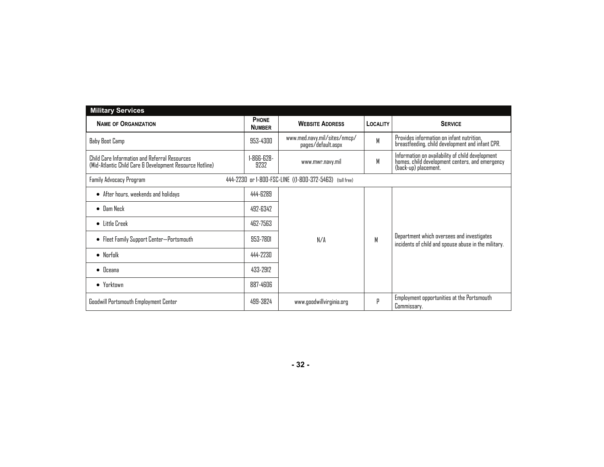| <b>Military Services</b>                                                                                  |                               |                                                    |          |                                                                                                                             |  |
|-----------------------------------------------------------------------------------------------------------|-------------------------------|----------------------------------------------------|----------|-----------------------------------------------------------------------------------------------------------------------------|--|
| <b>NAME OF ORGANIZATION</b>                                                                               | <b>PHONE</b><br><b>NUMBER</b> | <b>WEBSITE ADDRESS</b>                             | LOCALITY | <b>SERVICE</b>                                                                                                              |  |
| Baby Boot Camp                                                                                            | 953-4300                      | www.med.navy.mil/sites/nmcp/<br>pages/default.aspx | M        | Provides information on infant nutrition.<br>breastfeeding, child development and infant CPR.                               |  |
| Child Care Information and Referral Resources<br>(Mid-Atlantic Child Care & Development Resource Hotline) | 1-866-628-<br>9232            | www.mwr.navy.mil                                   | M        | Information on availability of child development<br>homes, child development centers, and emergency<br>(back-up) placement. |  |
| 444-2230 or 1-800-FSC-LINE ((1-800-372-5463) (toll free)<br>Family Advocacy Program                       |                               |                                                    |          |                                                                                                                             |  |
| • After hours, weekends and holidays                                                                      | 444-6289                      |                                                    |          |                                                                                                                             |  |
| $\bullet$ Dam Neck                                                                                        | 492-6342                      |                                                    |          |                                                                                                                             |  |
| $\bullet$ Little Creek                                                                                    | 462-7563                      |                                                    |          |                                                                                                                             |  |
| • Fleet Family Support Center—Portsmouth                                                                  | 953-7801                      | N/A                                                | M        | Department which oversees and investigates<br>incidents of child and spouse abuse in the military.                          |  |
| $\bullet$ Norfolk                                                                                         | 444-2230                      |                                                    |          |                                                                                                                             |  |
| $\bullet$ Oceana                                                                                          | 433-2912                      |                                                    |          |                                                                                                                             |  |
| $\bullet$ Yarktawn                                                                                        | 887-4606                      |                                                    |          |                                                                                                                             |  |
| <b>Goodwill Portsmouth Employment Center</b>                                                              | 499-3824                      | www.goodwillvirginia.org                           | р        | Employment opportunities at the Portsmouth<br>Commissary.                                                                   |  |

**- 32 -**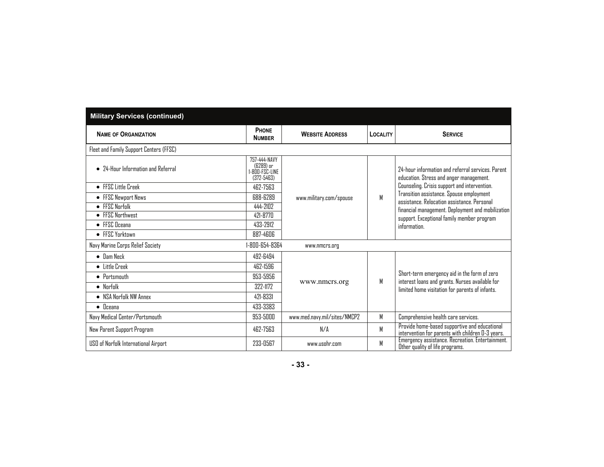| <b>Military Services (continued)</b>    |                                                               |                              |          |                                                                                                                                                                                                            |
|-----------------------------------------|---------------------------------------------------------------|------------------------------|----------|------------------------------------------------------------------------------------------------------------------------------------------------------------------------------------------------------------|
| <b>NAME OF ORGANIZATION</b>             | PHONE<br><b>NUMBER</b>                                        | <b>WEBSITE ADDRESS</b>       | LOCALITY | <b>SERVICE</b>                                                                                                                                                                                             |
| Fleet and Family Support Centers (FFSC) |                                                               |                              |          |                                                                                                                                                                                                            |
| • 74-Hour Information and Referral      | 757-444-NAVY<br>(6289) or<br>I-800-FSC-LINE<br>$(372 - 5463)$ | www.military.com/spouse      |          | 24-hour information and referral services. Parent<br>education. Stress and anger management.                                                                                                               |
| • FFSC Little Creek                     | 462-7563                                                      |                              |          | Counseling. Crisis support and intervention.                                                                                                                                                               |
| • FFSC Newport News                     | 688-6289                                                      |                              | M        | Transition assistance. Spouse employment<br>assistance, Relocation assistance, Personal<br>financial management. Deployment and mobilization<br>support. Exceptional family member program<br>information. |
| $\bullet$ FFSC Norfolk                  | 444-2102                                                      |                              |          |                                                                                                                                                                                                            |
| • FFSC Northwest                        | 421-8770                                                      |                              |          |                                                                                                                                                                                                            |
| $\bullet$ FFSC Oceana                   | 433-2912                                                      |                              |          |                                                                                                                                                                                                            |
| • FFSC Yorktown                         | 887-4606                                                      |                              |          |                                                                                                                                                                                                            |
| Navy Marine Corps Relief Society        | 1-800-654-8364                                                | www.nmcrs.org                |          |                                                                                                                                                                                                            |
| $\bullet$ Dam Neck                      | 492-6494                                                      |                              |          |                                                                                                                                                                                                            |
| • Little Creek                          | 462-1596                                                      |                              |          |                                                                                                                                                                                                            |
| $\bullet$ Portsmouth                    | 953-5956                                                      |                              |          | Short-term emergency aid in the form of zero                                                                                                                                                               |
| $\bullet$ Norfolk                       | 322-1172                                                      | www.nmcrs.org                | М        | interest loans and grants. Nurses available for<br>limited home visitation for parents of infants.                                                                                                         |
| • NSA Norfolk NW Annex                  | 421-8331                                                      |                              |          |                                                                                                                                                                                                            |
| $\bullet$ Oceana                        | 433-3383                                                      |                              |          |                                                                                                                                                                                                            |
| Navy Medical Center/Portsmouth          | 953-5000                                                      | www.med.navy.mil/sites/NMCP2 | М        | Comprehensive health care services.                                                                                                                                                                        |
| New Parent Support Program              | 462-7563                                                      | N/A                          | M        | Provide home-based supportive and educational<br>intervention for parents with children 0-3 years.                                                                                                         |
| USO of Norfolk International Airport    | 233-0567                                                      | www.usohr.com                | М        | Emergency assistance. Recreation. Entertainment.<br>Other quality of life programs.                                                                                                                        |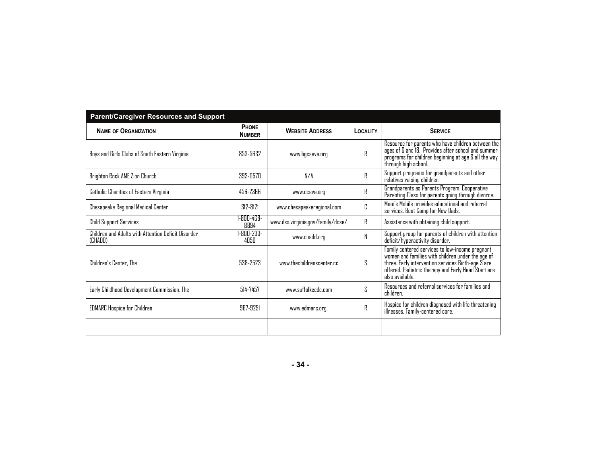| <b>Parent/Caregiver Resources and Support</b>                  |                               |                                   |                 |                                                                                                                                                                                                                                         |
|----------------------------------------------------------------|-------------------------------|-----------------------------------|-----------------|-----------------------------------------------------------------------------------------------------------------------------------------------------------------------------------------------------------------------------------------|
| <b>NAME OF ORGANIZATION</b>                                    | <b>PHONE</b><br><b>NUMBER</b> | <b>WEBSITE ADDRESS</b>            | <b>LOCALITY</b> | <b>SERVICE</b>                                                                                                                                                                                                                          |
| Boys and Girls Clubs of South Eastern Virginia                 | 853-5632                      | www.bgcseva.org                   | R               | Resource for parents who have children between the<br>ages of 6 and 18. Provides after school and summer<br>programs for children beginning at age 6 all the way<br>through high school.                                                |
| Brighton Rock AME Zion Church                                  | 393-0570                      | N/A                               | R               | Support programs for grandparents and other<br>relatives raising children.                                                                                                                                                              |
| Catholic Charities of Eastern Virginia                         | 456-2366                      | www.cceva.org                     | R               | Grandparents as Parents Program. Cooperative<br>Parenting Class for parents going through divorce.                                                                                                                                      |
| Chesapeake Regional Medical Center                             | $312 - 8121$                  | www.chesapeakeregional.com        | C               | Mom's Mobile provides educational and referral<br>services. Boot Camp for New Dads.                                                                                                                                                     |
| <b>Child Support Services</b>                                  | 1-800-468-<br>8894            | www.dss.virginia.gov/family/dcse/ | R               | Assistance with obtaining child support.                                                                                                                                                                                                |
| Children and Adults with Attention Deficit Disorder<br>(CHADD) | 1-800-233-<br>4050            | www.chadd.org                     | N               | Support group for parents of children with attention<br>deficit/hyperactivity disorder.                                                                                                                                                 |
| Children's Center. The                                         | 538-2523                      | www.thechildrenscenter.cc         | S               | Family centered services to low-income pregnant<br>women and families with children under the age of<br>three. Early intervention services Birth-age $37$ are<br>offered. Pediatric therapy and Early Head Start are<br>also available. |
| Early Childhood Development Commission, The                    | 514-7457                      | www.suffolkecdc.com               | ς               | Resources and referral services for families and<br>children.                                                                                                                                                                           |
| <b>EDMARC</b> Hospice for Children                             | 967-9251                      | www.edmarc.org.                   | R               | Hospice for children diagnosed with life threatening<br>illnesses. Family-centered care.                                                                                                                                                |
|                                                                |                               |                                   |                 |                                                                                                                                                                                                                                         |

**- 34 -**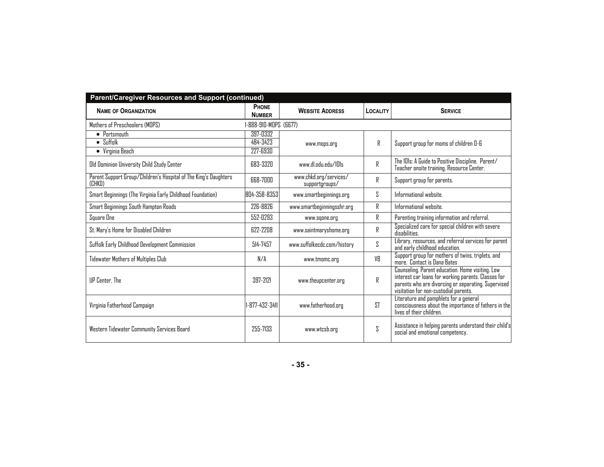| Parent/Caregiver Resources and Support (continued)                         |                               |                                          |          |                                                                                                                                                                                                         |  |
|----------------------------------------------------------------------------|-------------------------------|------------------------------------------|----------|---------------------------------------------------------------------------------------------------------------------------------------------------------------------------------------------------------|--|
| <b>NAME OF ORGANIZATION</b>                                                | <b>PHONE</b><br><b>NUMBER</b> | <b>WEBSITE ADDRESS</b>                   | LOCALITY | <b>SERVICE</b>                                                                                                                                                                                          |  |
| Mothers of Preschoolers (MOPS)                                             | 1-888-910-MOPS (6677)         |                                          |          |                                                                                                                                                                                                         |  |
| $\bullet$ Portsmouth                                                       | 397-0332                      |                                          |          |                                                                                                                                                                                                         |  |
| $\bullet$ Suffolk                                                          | 484-3423                      | www.mops.org                             | R        | Support group for moms of children D-6                                                                                                                                                                  |  |
| $\bullet\;$ Virginia Beach                                                 | 227-6930                      |                                          |          |                                                                                                                                                                                                         |  |
| Old Dominion University Child Study Center                                 | 683-3320                      | www.dl.odu.edu/101s                      | R        | The IDIs: A Guide to Positive Discipline. Parent/<br>Teacher onsite training. Resource Center.                                                                                                          |  |
| Parent Support Group/Children's Hospital of The King's Daughters<br>(CHKD) | 668-7000                      | www.chkd.org/services/<br>supportgroups/ | R        | Support group for parents.                                                                                                                                                                              |  |
| Smart Beginnings (The Virginia Early Childhood Foundation)                 | 804-358-8353                  | www.smartbeginnings.org                  | S        | Informational website.                                                                                                                                                                                  |  |
| Smart Beginnings South Hampton Roads                                       | 226-8826                      | www.smartbeginningsshr.org               | R        | Informational website.                                                                                                                                                                                  |  |
| Square One                                                                 | 552-0293                      | www.sqone.org                            | R        | Parenting training information and referral.                                                                                                                                                            |  |
| St. Mary's Home for Disabled Children                                      | 622-2208                      | www.saintmaryshome.org                   | R        | Specialized care for special children with severe<br>disabilities.                                                                                                                                      |  |
| Suffolk Early Childhood Development Commission                             | 514-7457                      | www.suffolkecdc.com/history              | S.       | Library, resources, and referral services for parent<br>and early childhood education.                                                                                                                  |  |
| Tidewater Mothers of Multiples Club                                        | N/A                           | www.tmomc.org                            | VB       | Support group for mothers of twins, triplets, and<br>more. Contact is Dana Bates                                                                                                                        |  |
| <b>IIP Center</b> , The                                                    | 397-7171                      | www.theupcenter.org                      | R        | Counseling. Parent education. Home visiting. Low<br>interest car loans for working parents. Classes for<br>parents who are divorcing or separating. Supervised<br>visitation for non-custodial parents. |  |
| Virginia Fatherhood Campaign                                               | 1-877-432-3411                | www.fatherhood.org                       | ST       | Literature and pamphlets for a general<br>consciousness about the importance of fathers in the<br>lives of their children.                                                                              |  |
| Western Tidewater Community Services Board                                 | 255-7133                      | www.wtcsb.org                            | S        | Assistance in helping parents understand their child's<br>social and emotional competency.                                                                                                              |  |

**- 35 -**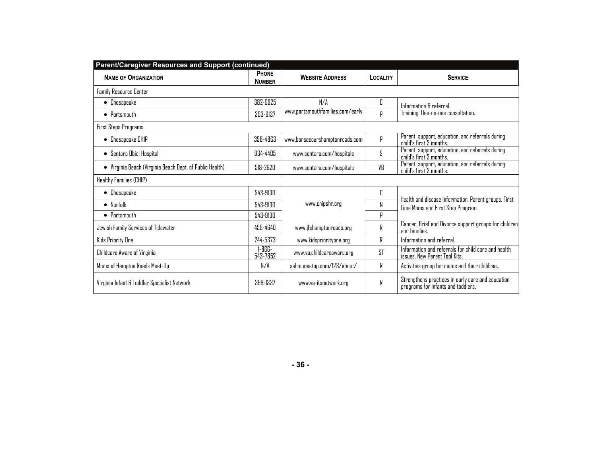| Parent/Caregiver Resources and Support (continued)       |                               |                                  |          |                                                                                           |
|----------------------------------------------------------|-------------------------------|----------------------------------|----------|-------------------------------------------------------------------------------------------|
| <b>NAME OF ORGANIZATION</b>                              | <b>PHONE</b><br><b>NUMBER</b> | <b>WEBSITE ADDRESS</b>           | LOCALITY | <b>SERVICE</b>                                                                            |
| Family Resource Center                                   |                               |                                  |          |                                                                                           |
| $\bullet$ Chesapeake                                     | 382-6925                      | N/A                              | C        | Information & referral.                                                                   |
| $\bullet$ Portsmouth                                     | 393-0137                      | www.portsmouthfamilies.com/early | р        | Training. One-on-one consultation.                                                        |
| First Steps Programs                                     |                               |                                  |          |                                                                                           |
| • Chesapeake CHIP                                        | 398-4863                      | www.bonsecourshamptonroads.com   | P        | Parent support, education, and referrals during<br>child's first 3 months.                |
| • Sentara Obici Hospital                                 | 934-4405                      | www.sentara.com/hospitals        | S        | Parent support, education, and referrals during<br>child's first 3 months.                |
| • Virginia Beach (Virginia Beach Dept. of Public Health) | 518-2620                      | www.sentara.com/hospitals        | VB       | Parent support, education, and referrals during<br>child's first 3 months.                |
| Healthy Families (CHIP)                                  |                               |                                  |          |                                                                                           |
| $\bullet$ Chesapeake                                     | 543-9100                      |                                  | C        |                                                                                           |
| $\bullet$ Norfolk                                        | 543-9100                      | www.chipshr.org                  | N        | Health and disease information. Parent groups. First<br>Time Moms and First Step Program. |
| $\bullet$ Portsmouth                                     | 543-9100                      |                                  | р        |                                                                                           |
| Jewish Family Services of Tidewater                      | 459-4640                      | www.jfshamptonroads.org          | R        | Cancer, Grief and Divorce support groups for children<br>and families.                    |
| Kids Priority One                                        | 244-5373                      | www.kidspriorityone.org          | R        | Information and referral                                                                  |
| Childcare Aware of Virginia                              | $1 - 866 -$<br>543-7852       | www.va.childcareaware.org        | ST       | Information and referrals for child care and health<br>issues. New Parent Tool Kits.      |
| Moms of Hampton Roads Meet-Up                            | N/A                           | sahm.meetup.com/123/about/       | R        | Activities group for moms and their children                                              |
| Virginia Infant & Toddler Specialist Network             | 399-1337                      | www.va-itsnetwork.org            | R        | Strengthens practices in early care and education<br>programs for infants and toddlers.   |

**- 36 -**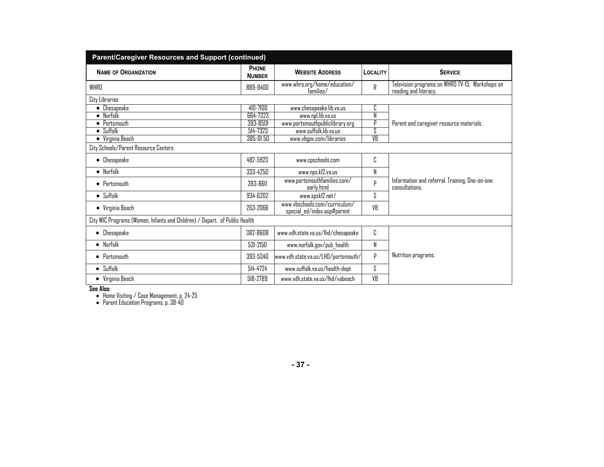| <b>Parent/Caregiver Resources and Support (continued)</b>                  |                               |                                                              |                 |                                                                          |  |
|----------------------------------------------------------------------------|-------------------------------|--------------------------------------------------------------|-----------------|--------------------------------------------------------------------------|--|
| <b>NAME OF ORGANIZATION</b>                                                | <b>PHONE</b><br><b>NUMBER</b> | <b>WEBSITE ADDRESS</b>                                       | <b>LOCALITY</b> | <b>SERVICE</b>                                                           |  |
| WHRD                                                                       | 889-9400                      | www.whro.org/home/education/<br>families/                    | R               | Television programs on WHRO TV-15. Workshops on<br>reading and literacy. |  |
| <b>City Libraries</b>                                                      |                               |                                                              |                 |                                                                          |  |
| $\bullet$ Chesapeake                                                       | 410-7100                      | www.chesapeake.lib.va.us                                     | Ь               |                                                                          |  |
| $\bullet$ Norfolk                                                          | 664-7323                      | www.npl.lib.va.us                                            | N               |                                                                          |  |
| $\bullet$ Portsmouth                                                       | 393-8501                      | www.portsmouthpubliclibrary.org                              | р               | Parent and caregiver resource materials.                                 |  |
| $\bullet$ Suffolk                                                          | 514-7323                      | www.suffolk.lib.va.us                                        | Ŝ               |                                                                          |  |
| Virginia Beach                                                             | 385-0150                      | www.vbgov.com/libraries                                      | V <sub>B</sub>  |                                                                          |  |
| City Schools/Parent Resource Centers                                       |                               |                                                              |                 |                                                                          |  |
| $\bullet$ Chesapeake                                                       | 482-5923                      | www.cpschools.com                                            | C               |                                                                          |  |
| • Norfolk                                                                  | 333-4250                      | www.nps.k12.va.us                                            | N               |                                                                          |  |
| $\bullet$ Portsmouth                                                       | 393-8611                      | www.portsmouthfamilies.com/<br>early.html                    | р               | Information and referral. Training. One-on-one<br>consultations.         |  |
| $\bullet$ Suffolk                                                          | 934-6202                      | www.spskl2.net/                                              | S               |                                                                          |  |
| • Virginia Beach                                                           | 263-2066                      | www.vbschools.com/curriculum/<br>special ed/index.asp#parent | VB              |                                                                          |  |
| City WIC Programs (Women, Infants and Children) / Depart. of Public Health |                               |                                                              |                 |                                                                          |  |
| Chesapeake<br>$\bullet$                                                    | 382-8608                      | www.vdh.state.va.us/lhd/chesapeake                           | C               |                                                                          |  |
| $\bullet$ Norfolk                                                          | 531-2150                      | www.norfolk.gov/pub_health                                   | N               |                                                                          |  |
| $\bullet$ Portsmouth                                                       | 393-5340                      | www.vdh.state.va.us/LHD/portsmouth/                          | р               | Nutrition programs.                                                      |  |
| $\bullet$ Suffolk                                                          | 514-4724                      | www.suffolk.va.us/health-dept                                | S               |                                                                          |  |
| • Virginia Beach                                                           | 518-2789                      | www.vdh.state.va.us/lhd/vabeach                              | VB              |                                                                          |  |

**See Also:**  Home Visiting / Case Management, p. 24-25 Parent Education Programs, p. 38-40

**- 37 -**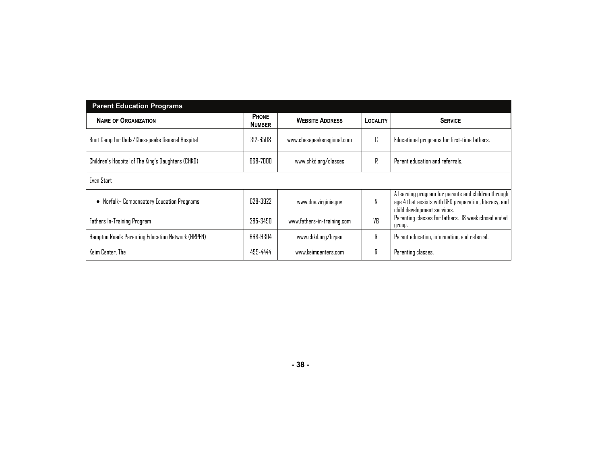| <b>Parent Education Programs</b>                   |                               |                             |                 |                                                                                                                                              |  |  |
|----------------------------------------------------|-------------------------------|-----------------------------|-----------------|----------------------------------------------------------------------------------------------------------------------------------------------|--|--|
| <b>NAME OF ORGANIZATION</b>                        | <b>PHONE</b><br><b>NUMBER</b> | <b>WEBSITE ADDRESS</b>      | <b>LOCALITY</b> | <b>SERVICE</b>                                                                                                                               |  |  |
| Boot Camp for Dads/Chesapeake General Hospital     | 312-6508                      | www.chesapeakeregional.com  | n               | Educational programs for first-time fathers.                                                                                                 |  |  |
| Children's Hospital of The King's Daughters (CHKD) | 668-7000                      | www.chkd.org/classes        | R               | Parent education and referrals.                                                                                                              |  |  |
| Even Start                                         |                               |                             |                 |                                                                                                                                              |  |  |
| Norfolk– Compensatory Education Programs<br>٠      | 628-3922                      | www.doe.virginia.gov        | N               | A learning program for parents and children through<br>age 4 that assists with GED preparation, literacy, and<br>child development services. |  |  |
| Fathers In-Training Program                        | 385-3490                      | www.fathers-in-training.com | VR              | Parenting classes for fathers. 18 week closed ended<br>group.                                                                                |  |  |
| Hampton Roads Parenting Education Network (HRPEN)  | 668-9304                      | www.chkd.org/hrpen          | R               | Parent education, information, and referral.                                                                                                 |  |  |
| Keim Center, The                                   | 499-4444                      | www.keimcenters.com         | R               | Parenting classes.                                                                                                                           |  |  |

#### **- 38 -**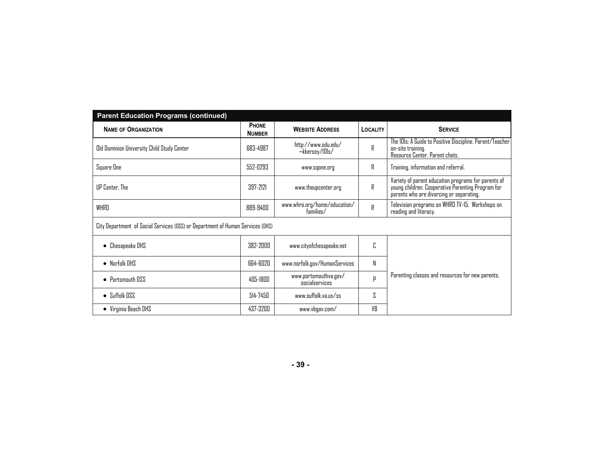| <b>Parent Education Programs (continued)</b>                                   |                               |                                           |                 |                                                                                                                                                      |  |
|--------------------------------------------------------------------------------|-------------------------------|-------------------------------------------|-----------------|------------------------------------------------------------------------------------------------------------------------------------------------------|--|
| <b>NAME OF ORGANIZATION</b>                                                    | <b>PHONE</b><br><b>NUMBER</b> | <b>WEBSITE ADDRESS</b>                    | <b>LOCALITY</b> | <b>SERVICE</b>                                                                                                                                       |  |
| Old Dominion University Child Study Center                                     | 683-4987                      | http://www.odu.edu/<br>~kkersey/101s/     | R               | The 101s: A Guide to Positive Discipline. Parent/Teacher<br>on-site training.<br>Resource Center. Parent chats.                                      |  |
| Square One                                                                     | 552-0293                      | www.sqone.org                             | R               | Training, information and referral.                                                                                                                  |  |
| UP Center. The                                                                 | 397-7171                      | www.theupcenter.org                       | R               | Variety of parent education programs for parents of<br>young children. Cooperative Parenting Program for<br>parents who are divorcing or separating. |  |
| WHRD                                                                           | 889-9400                      | www.whro.org/home/education/<br>families/ | R               | Television programs on WHRO TV-15. Workshops on<br>reading and literacy.                                                                             |  |
| City Department of Social Services (DSS) or Department of Human Services (DHS) |                               |                                           |                 |                                                                                                                                                      |  |
| Chesapeake DHS                                                                 | 382-2000                      | www.cityofchesapeake.net                  | C               |                                                                                                                                                      |  |
| $\bullet$ Norfolk DHS                                                          | 664-6020                      | www.norfolk.gov/HumanServices             | N               |                                                                                                                                                      |  |
| • Portsmouth DSS                                                               | 405-1800                      | www.portsmouthva.gov/<br>socialservices   | р               | Parenting classes and resources for new parents.                                                                                                     |  |
| $\bullet$ Suffolk DSS                                                          | 514-7450                      | www.suffolk.va.us/ss                      | S               |                                                                                                                                                      |  |
| • Virginia Beach DHS                                                           | 437-3200                      | www.vbgov.com/                            | VR              |                                                                                                                                                      |  |

**- 39 -**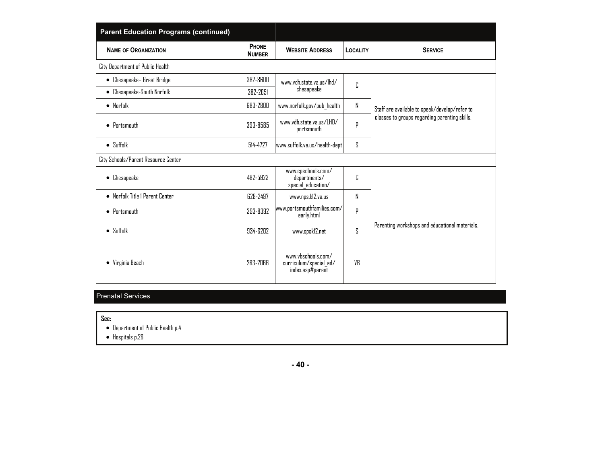| <b>Parent Education Programs (continued)</b> |                        |                                                                  |                 |                                                |
|----------------------------------------------|------------------------|------------------------------------------------------------------|-----------------|------------------------------------------------|
| <b>NAME OF ORGANIZATION</b>                  | PHONE<br><b>NUMBER</b> | <b>WEBSITE ADDRESS</b>                                           | <b>LOCALITY</b> | <b>SERVICE</b>                                 |
| City Department of Public Health             |                        |                                                                  |                 |                                                |
| • Chesapeake- Great Bridge                   | 382-8600               | www.vdh.state.va.us/lhd/                                         | C               |                                                |
| • Chesapeake-South Norfolk                   | 382-2651               | chesapeake                                                       |                 |                                                |
| $\bullet$ Norfolk                            | 683-2800               | www.norfolk.gov/pub_health                                       | N               | Staff are available to speak/develop/refer to  |
| $\bullet$ Portsmouth                         | 393-8585               | www.vdh.state.va.us/LHD/<br>portsmouth                           | p               | classes to groups regarding parenting skills.  |
| $\bullet$ Suffolk                            | 514-4727               | www.suffolk.va.us/health-dept                                    | S               |                                                |
| City Schools/Parent Resource Center          |                        |                                                                  |                 |                                                |
| • Chesapeake                                 | 482-5923               | www.cpschools.com/<br>departments/<br>special education/         | C               |                                                |
| • Norfolk Title 1 Parent Center              | 628-2497               | www.nps.kl2.va.us                                                | N               |                                                |
| $\bullet$ Portsmouth                         | 393-8392               | www.portsmouthfamilies.com/<br>early.html                        | P               |                                                |
| $\bullet$ Suffolk                            | 934-6202               | www.spsk12.net                                                   | ζ               | Parenting workshops and educational materials. |
| • Virginia Beach                             | 263-2066               | www.vhschnnls.cnm/<br>curriculum/special ed/<br>index.asp#parent | VB              |                                                |

#### Prenatal Services

**See:** 

Department of Public Health p.4

Hospitals p.26

**- 40 -**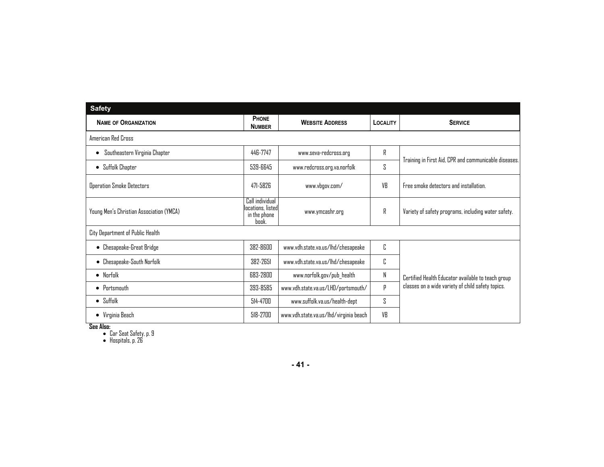| <b>Safety</b>                            |                                                               |                                        |                 |                                                       |
|------------------------------------------|---------------------------------------------------------------|----------------------------------------|-----------------|-------------------------------------------------------|
| <b>NAME OF ORGANIZATION</b>              | PHONE<br><b>NUMBER</b>                                        | <b>WEBSITE ADDRESS</b>                 | <b>LOCALITY</b> | <b>SERVICE</b>                                        |
| American Red Cross                       |                                                               |                                        |                 |                                                       |
| Southeastern Virginia Chapter            | 446-7747                                                      | www.seva-redcross.org                  | R               |                                                       |
| Suffolk Chapter<br>$\bullet$             | 539-6645                                                      | www.redcross.org.va.norfolk            | S               | Training in First Aid, CPR and communicable diseases. |
| <b>Operation Smoke Detectors</b>         | 471-5826                                                      | www.vbgov.com/                         | VB              | Free smoke detectors and installation.                |
| Young Men's Christian Association (YMCA) | Call individual<br>locations. listed<br>in the phone<br>book. | www.ymcashr.org                        | R               | Variety of safety programs, including water safety.   |
| City Department of Public Health         |                                                               |                                        |                 |                                                       |
| • Chesapeake-Great Bridge                | 382-8600                                                      | www.vdh.state.va.us/lhd/chesapeake     | C               |                                                       |
| Chesapeake-South Norfolk                 | 382-2651                                                      | www.vdh.state.va.us/lhd/chesapeake     | C               |                                                       |
| $\bullet$ Norfolk                        | 683-2800                                                      | www.norfolk.gov/pub_health             | N               | Certified Health Educator available to teach group    |
| $\bullet$ Portsmouth                     | 393-8585                                                      | www.vdh.state.va.us/LHD/portsmouth/    | p               | classes on a wide variety of child safety topics.     |
| $\bullet$ Suffolk                        | 514-4700                                                      | www.suffolk.va.us/health-dept          | S               |                                                       |
| • Virginia Beach                         | 518-2700                                                      | www.vdh.state.va.us/lhd/virginia beach | VB              |                                                       |

**See Also:**  Car Seat Safety, p. 9 Hospitals, p. 26

**- 41 -**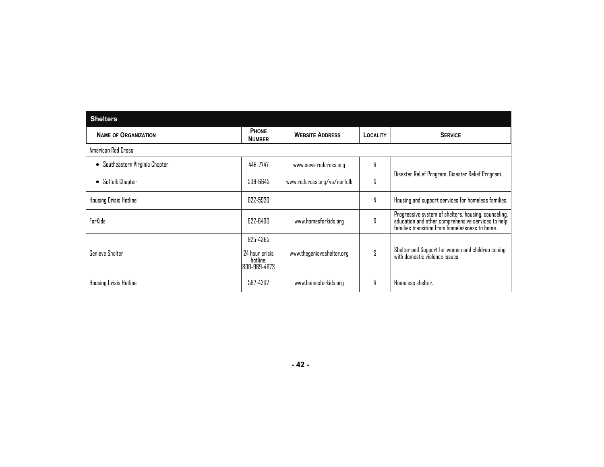| <b>Shelters</b>                    |                                                         |                             |          |                                                                                                                                                              |
|------------------------------------|---------------------------------------------------------|-----------------------------|----------|--------------------------------------------------------------------------------------------------------------------------------------------------------------|
| <b>NAME OF ORGANIZATION</b>        | <b>PHONE</b><br><b>NUMBER</b>                           | <b>WEBSITE ADDRESS</b>      | LOCALITY | <b>SERVICE</b>                                                                                                                                               |
| American Red Cross                 |                                                         |                             |          |                                                                                                                                                              |
| Southeastern Virginia Chapter<br>٠ | 446-7747                                                | www.seva-redcross.org       | R        |                                                                                                                                                              |
| Suffolk Chapter<br>$\bullet$       | 539-6645                                                | www.redcross.org/va/norfolk | S        | Disaster Relief Program. Disaster Relief Program.                                                                                                            |
| Housing Crisis Hotline             | 622-5920                                                |                             | N        | Housing and support services for homeless families.                                                                                                          |
| ForKids                            | 622-6400                                                | www.homesforkids.org        | R        | Progressive system of shelters, housing, counseling,<br>education and other comprehensive services to help<br>families transition from homelessness to home. |
| <b>Genieve Shelter</b>             | 925-4365<br>24 hour crisis<br>hotline:<br> 800-969-4673 | www.thegenieveshelter.org   | ζ        | Shelter and Support for women and children coping<br>with domestic violence issues.                                                                          |
| Housing Crisis Hotline             | 587-4202                                                | www.homesforkids.org        | R        | Homeless shelter.                                                                                                                                            |

**- 42 -**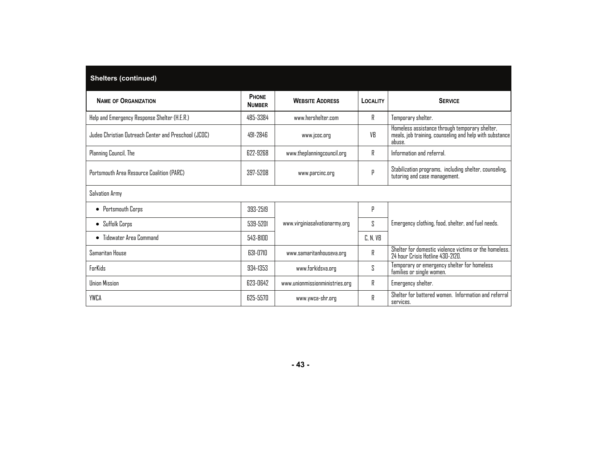| <b>Shelters (continued)</b>                          |                        |                                |          |                                                                                                                     |
|------------------------------------------------------|------------------------|--------------------------------|----------|---------------------------------------------------------------------------------------------------------------------|
| <b>NAME OF ORGANIZATION</b>                          | PHONE<br><b>NUMBER</b> | <b>WEBSITE ADDRESS</b>         | LOCALITY | <b>SERVICE</b>                                                                                                      |
| Help and Emergency Response Shelter (H.E.R.)         | 485-3384               | www.hershelter.com             | R        | Temporary shelter.                                                                                                  |
| Judeo Christian Outreach Center and Preschool (JCOC) | 491-2846               | www.jcoc.org                   | VB       | Homeless assistance through temporary shelter,<br>meals, job training, counseling and help with substance<br>abuse. |
| Planning Council, The                                | 622-9268               | www.theplanningcouncil.org     | R        | Information and referral.                                                                                           |
| Portsmouth Area Resource Coalition (PARC)            | 397-5208               | www.parcinc.org                | р        | Stabilization programs, including shelter, counseling,<br>tutoring and case management.                             |
| Salvation Army                                       |                        |                                |          |                                                                                                                     |
| • Portsmouth Corps                                   | 393-2519               |                                | p        |                                                                                                                     |
| • Suffolk Corps                                      | 539-5201               | www.virginiasalvationarmy.org  | S        | Emergency clothing, food, shelter, and fuel needs.                                                                  |
| • Tidewater Area Command                             | 543-8100               |                                | C, N, VB |                                                                                                                     |
| Samaritan House                                      | 631-0710               | www.samaritanhouseva.org       | R        | Shelter for domestic violence victims or the homeless.<br>24 hour Crisis Hotline 430-2120.                          |
| <b>ForKids</b>                                       | 934-1353               | www.forkidsva.org              | S        | Temporary or emergency shelter for homeless<br>families or single women.                                            |
| <b>Union Mission</b>                                 | 623-0642               | www.unionmissionministries.org | R        | Emergency shelter.                                                                                                  |
| YWCA                                                 | 625-5570               | www.ywca-shr.org               | R        | Shelter for battered women. Information and referral<br>services.                                                   |

**- 43 -**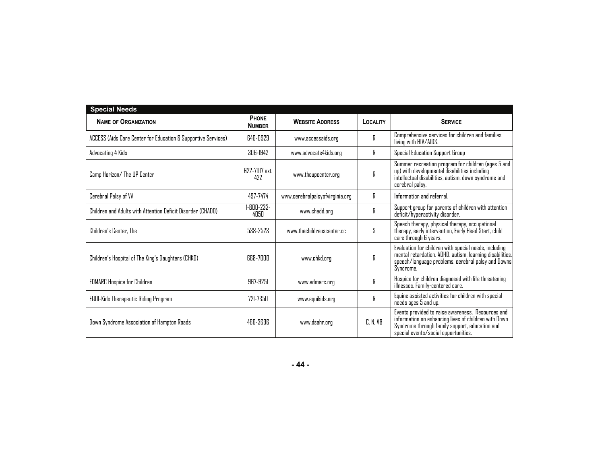| <b>Special Needs</b>                                          |                                 |                                 |          |                                                                                                                                                                                                     |
|---------------------------------------------------------------|---------------------------------|---------------------------------|----------|-----------------------------------------------------------------------------------------------------------------------------------------------------------------------------------------------------|
| <b>NAME OF ORGANIZATION</b>                                   | <b>PHONE</b><br><b>NUMBER</b>   | <b>WEBSITE ADDRESS</b>          | LOCALITY | <b>SERVICE</b>                                                                                                                                                                                      |
| ACCESS (Aids Care Center for Education & Supportive Services) | 640-0929                        | www.accessaids.org              | R        | Comprehensive services for children and families<br>living with HIV/AIDS.                                                                                                                           |
| Advocating 4 Kids                                             | 306-1942                        | www.advocate4kids.org           | R        | Special Education Support Group                                                                                                                                                                     |
| Camp Horizon/ The UP Center                                   | 677-7017 ext.<br>477            | www.theupcenter.org             | R        | Summer recreation program for children (ages 5 and<br>up) with developmental disabilities including<br>intellectual disabilities, autism, down syndrome and<br>cerebral palsy.                      |
| Cerebral Palsy of VA                                          | 497-7474                        | www.cerebralpalsyofvirginia.org | R        | Information and referral.                                                                                                                                                                           |
| Children and Adults with Attention Deficit Disorder (CHADD)   | $1 - R \Pi \Pi - 233 -$<br>4050 | www.chadd.org                   | R        | Support group for parents of children with attention<br>deficit/hyperactivity disorder.                                                                                                             |
| Children's Center. The                                        | 538-2523                        | www.thechildrenscenter.cc       | S        | Speech therapy, physical therapy, occupational<br>therapy, early intervention, Early Head Start, child<br>care through 6 years.                                                                     |
| Children's Hospital of The King's Daughters (CHKD)            | <b>GG8-7000</b>                 | www.chkd.org                    | R        | Evaluation for children with special needs, including<br>mental retardation, ADHD, autism, learning disabilities,<br>speech/language problems, cerebral palsy and Downs<br>Syndrome.                |
| <b>EDMARC Hospice for Children</b>                            | 967-9251                        | www.edmarc.org                  | R        | Hospice for children diagnosed with life threatening<br>illnesses. Family-centered care.                                                                                                            |
| <b>EQUI-Kids Therapeutic Riding Program</b>                   | 771-7350                        | www.equikids.org                | R        | Equine assisted activities for children with special<br>needs ages 5 and up.                                                                                                                        |
| Down Syndrome Association of Hampton Roads                    | 466-3696                        | www.dsahr.org                   | C, N, VB | Events provided to raise awareness. Resources and<br>information on enhancing lives of children with Down<br>Syndrome through family support, education and<br>special events/social opportunities. |

**- 44 -**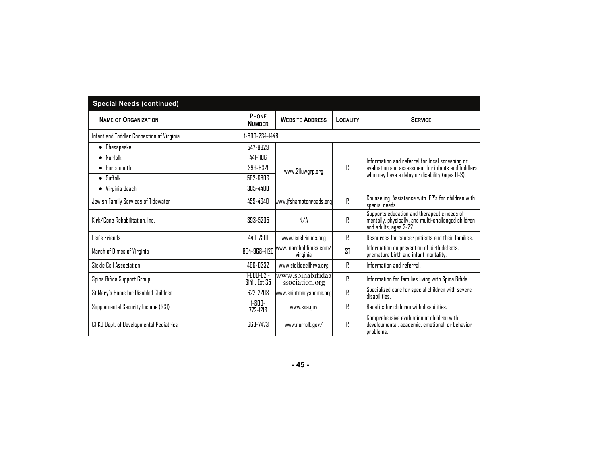| <b>Special Needs (continued)</b>          |                                   |                                    |                 |                                                                                                                                                         |  |  |  |  |
|-------------------------------------------|-----------------------------------|------------------------------------|-----------------|---------------------------------------------------------------------------------------------------------------------------------------------------------|--|--|--|--|
| <b>NAME OF ORGANIZATION</b>               | PHONE<br><b>NUMBER</b>            | <b>WEBSITE ADDRESS</b>             | <b>LOCALITY</b> | <b>SERVICE</b>                                                                                                                                          |  |  |  |  |
| Infant and Toddler Connection of Virginia | 1-800-234-1448                    |                                    |                 |                                                                                                                                                         |  |  |  |  |
| $\bullet$ Chesapeake                      | 547-8929                          |                                    | Г.              | Information and referral for local screening or<br>evaluation and assessment for infants and toddlers<br>who may have a delay or disability (ages 0-3). |  |  |  |  |
| $\bullet$ Norfolk                         | 441-1186                          | www.211uwgrp.org                   |                 |                                                                                                                                                         |  |  |  |  |
| $\bullet$ Pnrtsmnuth                      | 393-8321                          |                                    |                 |                                                                                                                                                         |  |  |  |  |
| $\bullet$ Suffolk                         | 562-6806                          |                                    |                 |                                                                                                                                                         |  |  |  |  |
| • Virginia Beach                          | 385-4400                          |                                    |                 |                                                                                                                                                         |  |  |  |  |
| Jewish Family Services of Tidewater       | 459-4640                          | www.jfshamptonroads.org            | R               | Counseling. Assistance with IEP's for children with<br>special needs.                                                                                   |  |  |  |  |
| Kirk/Cone Rehabilitation, Inc.            | 393-5205                          | N/A                                | R               | Supports education and therapeutic needs of<br>mentally, physically, and multi-challenged children<br>and adults, ages 2-22.                            |  |  |  |  |
| Lee's Friends                             | 440-7501                          | www.leesfriends.org                | R               | Resources for cancer patients and their families.                                                                                                       |  |  |  |  |
| March of Dimes of Virginia                | 804-968-4120                      | www.marchofdimes.com/<br>virginia  | <b>ST</b>       | Information on prevention of birth defects,<br>premature birth and infant mortality.                                                                    |  |  |  |  |
| Sickle Cell Association                   | 466-0332                          | www.sicklecellhrva.org             | R               | Information and referral.                                                                                                                               |  |  |  |  |
| Spina Bifida Support Group                | $1 - 800 - 621 -$<br>3141. Ext 35 | www.spinabifidaa<br>ssociation.org | R               | Information for families living with Spina Bifida.                                                                                                      |  |  |  |  |
| St Mary's Home for Disabled Children      | 622-2208                          | www.saintmaryshome.org             | R               | Specialized care for special children with severe<br>disabilities.                                                                                      |  |  |  |  |
| Supplemental Security Income (SSI)        | $1 - 800 -$<br>772-1213           | www.ssa.gov                        | R               | Benefits for children with disabilities.                                                                                                                |  |  |  |  |
| CHKD Dept. of Developmental Pediatrics    | <b>668-7473</b>                   | www.norfolk.gov/                   | R               | Comprehensive evaluation of children with<br>developmental, academic, emotional, or behavior<br>problems.                                               |  |  |  |  |

**- 45 -**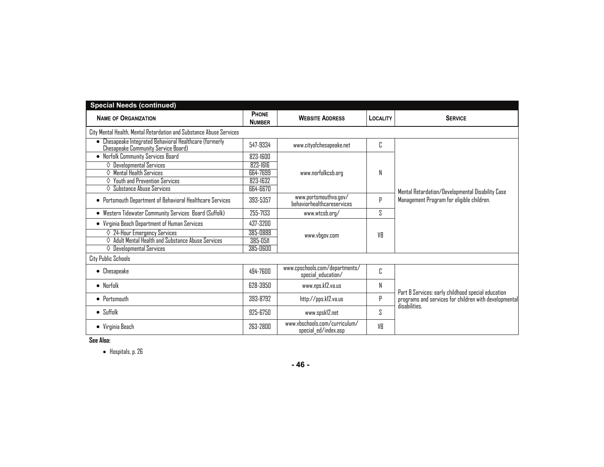| <b>Special Needs (continued)</b>                                                               |                        |                                                       |                 |                                                                                                                              |  |
|------------------------------------------------------------------------------------------------|------------------------|-------------------------------------------------------|-----------------|------------------------------------------------------------------------------------------------------------------------------|--|
| <b>NAME OF ORGANIZATION</b>                                                                    | PHONE<br><b>NUMBER</b> | <b>WEBSITE ADDRESS</b>                                | <b>LOCALITY</b> | <b>SERVICE</b>                                                                                                               |  |
| City Mental Health, Mental Retardation and Substance Abuse Services                            |                        |                                                       |                 |                                                                                                                              |  |
| • Chesapeake Integrated Behavioral Healthcare (formerly<br>Chesapeake Community Service Board) | 547-9334               | www.cityofchesapeake.net                              | C               |                                                                                                                              |  |
| • Norfolk Community Services Board                                                             | 823-1600               |                                                       |                 | Mental Retardation/Developmental Disability Case<br>Management Program for eligible children.                                |  |
| $\diamond$ Developmental Services                                                              | 823-1616               | www.norfolkcsb.org                                    |                 |                                                                                                                              |  |
| $\diamond$ Mental Health Services                                                              | 664-7699               |                                                       | Ν               |                                                                                                                              |  |
| Youth and Prevention Services                                                                  | 823-1632               |                                                       |                 |                                                                                                                              |  |
| Substance Abuse Services<br>♦                                                                  | 664-6670               |                                                       |                 |                                                                                                                              |  |
| • Portsmouth Department of Behavioral Healthcare Services                                      | 393-5357               | www.portsmouthva.gov/<br>hehaviorhealthcareservices   | р               |                                                                                                                              |  |
| Western Tidewater Community Services Board (Suffolk)<br>٠                                      | 255-7133               | www.wtcsb.org/                                        | S.              |                                                                                                                              |  |
| • Virginia Beach Department of Human Services                                                  | 437-3200               | www.vbgov.com                                         | VR              |                                                                                                                              |  |
| $\Diamond$ 24-Hour Emergency Services                                                          | 385-0888               |                                                       |                 |                                                                                                                              |  |
| $\diamond$ Adult Mental Health and Substance Abuse Services                                    | 385-0511               |                                                       |                 |                                                                                                                              |  |
| $\Diamond$ Developmental Services                                                              | 385-0600               |                                                       |                 |                                                                                                                              |  |
| <b>City Public Schools</b>                                                                     |                        |                                                       |                 |                                                                                                                              |  |
| $\bullet$ Chesapeake                                                                           | 494-7600               | www.cpschools.com/departments/<br>special education/  | C               | Part B Services: early childhood special education<br>programs and services for children with developmental<br>disabilities. |  |
| $\bullet$ Norfolk                                                                              | 628-3950               | www.nps.kl2.va.us                                     | Ν               |                                                                                                                              |  |
| $\bullet$ Portsmouth                                                                           | 393-8792               | http://pps.kl2.va.us                                  | P               |                                                                                                                              |  |
| $\bullet$ Suffolk                                                                              | 925-6750               | www.spsk12.net                                        | S               |                                                                                                                              |  |
| • Virginia Beach                                                                               | 263-2800               | www.vbschools.com/curriculum/<br>special ed/index.asp | VR              |                                                                                                                              |  |

**See Also:** 

Hospitals, p. 26

**- 46 -**